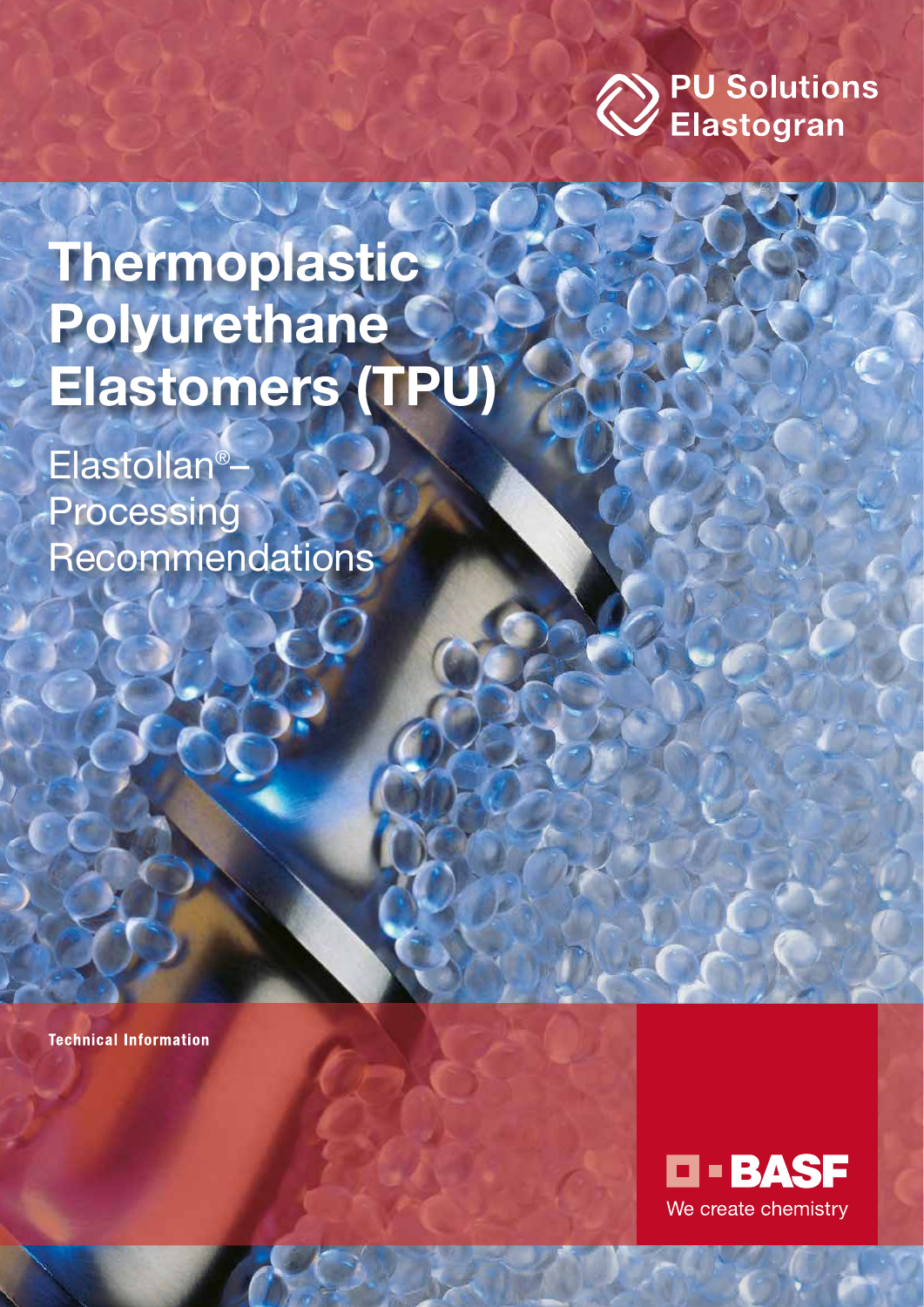

# **Thermoplastic Polyurethane Elastomers (TPU)**

Elastollan®– **Processing Recommendations** 

**Technical Information**

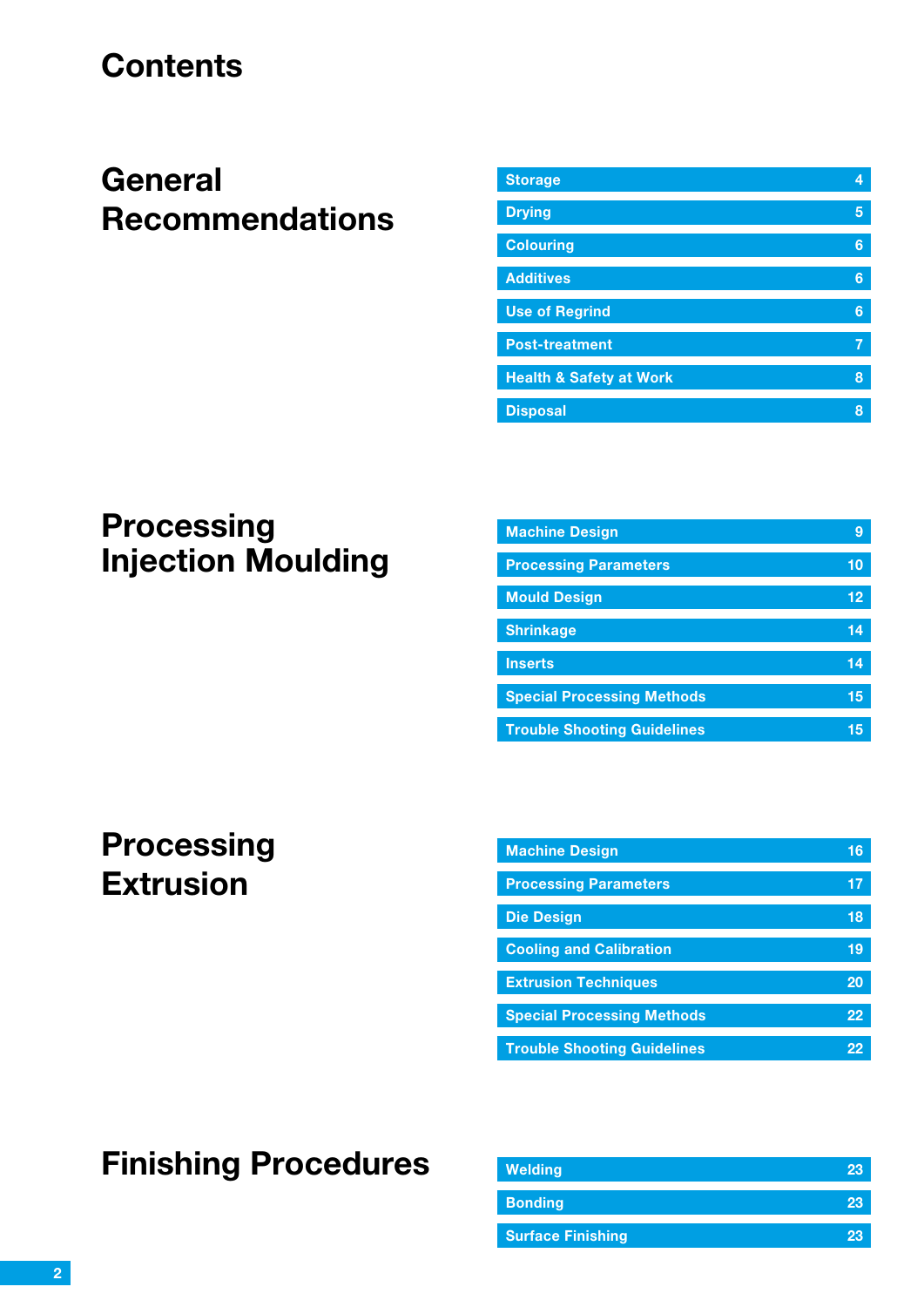### **Contents**

### **General Recommendations**

| <b>Storage</b>                     | 4 |
|------------------------------------|---|
| <b>Drying</b>                      | 5 |
| <b>Colouring</b>                   | 6 |
| <b>Additives</b>                   | 6 |
| <b>Use of Regrind</b>              | 6 |
| <b>Post-treatment</b>              | 7 |
| <b>Health &amp; Safety at Work</b> | 8 |
| <b>Disposal</b>                    | 8 |

## **Processing Injection Moulding**

| <b>Machine Design</b>              | g  |
|------------------------------------|----|
| <b>Processing Parameters</b>       | 10 |
| <b>Mould Design</b>                | 12 |
| <b>Shrinkage</b>                   | 14 |
| <b>Inserts</b>                     | 14 |
| <b>Special Processing Methods</b>  | 15 |
| <b>Trouble Shooting Guidelines</b> | 15 |

## **Processing Extrusion**

| <b>Machine Design</b>              | 16 |
|------------------------------------|----|
| <b>Processing Parameters</b>       | 17 |
| <b>Die Design</b>                  | 18 |
| <b>Cooling and Calibration</b>     | 19 |
| <b>Extrusion Techniques</b>        | 20 |
| <b>Special Processing Methods</b>  | 22 |
| <b>Trouble Shooting Guidelines</b> |    |

### **Finishing Procedures**

| Welding                  | 23  |
|--------------------------|-----|
| <b>Bonding</b>           | 23  |
| <b>Surface Finishing</b> | 23. |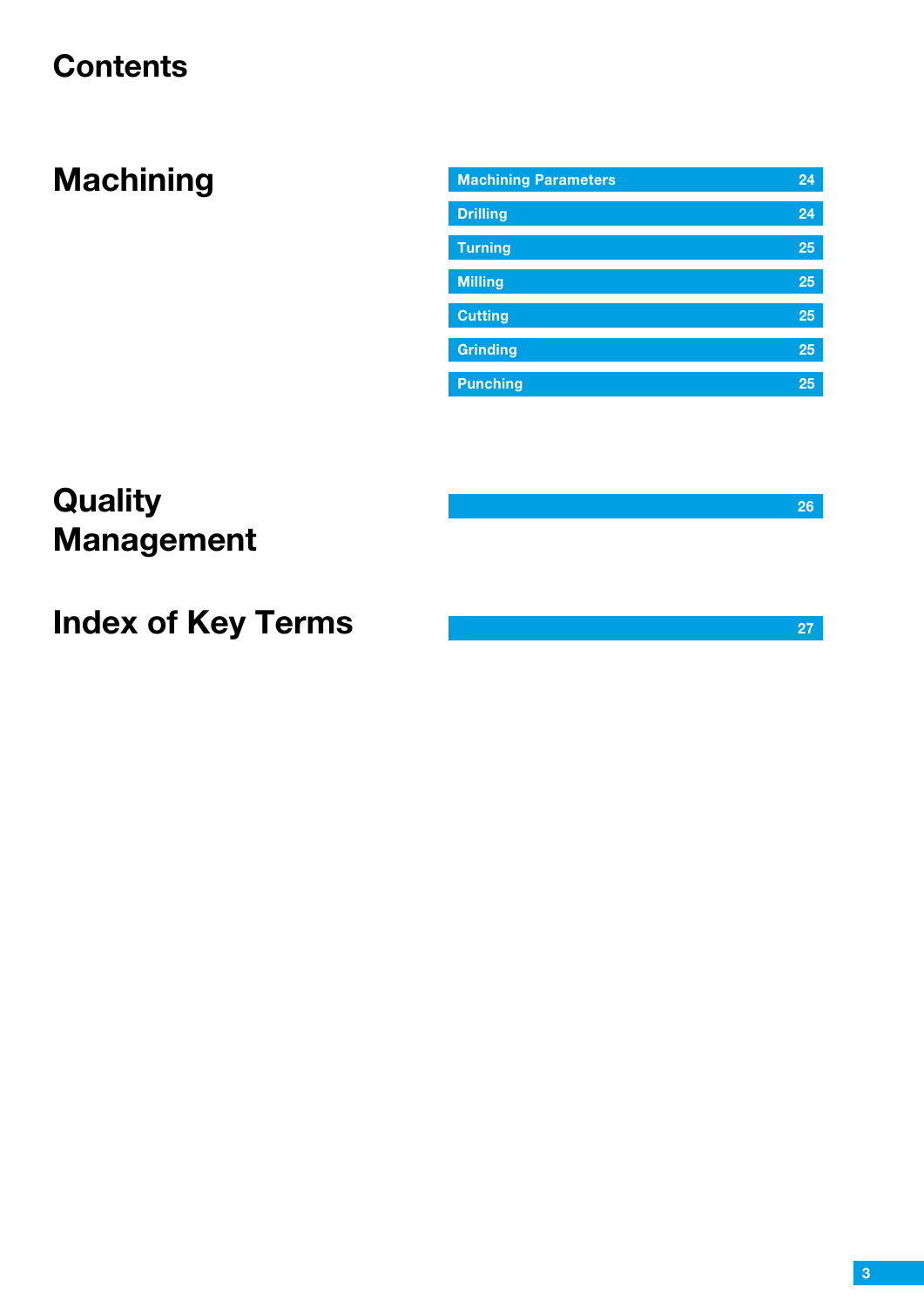### **Contents**

## **Machining**

| <b>Machining Parameters</b> | 24 |
|-----------------------------|----|
| <b>Drilling</b>             | 24 |
| <b>Turning</b>              | 25 |
| <b>Milling</b>              | 25 |
| <b>Cutting</b>              | 25 |
| <b>Grinding</b>             | 25 |
| <b>Punching</b>             | 25 |

## **Quality Management**

## **Index of Key Terms**

**26**

**27**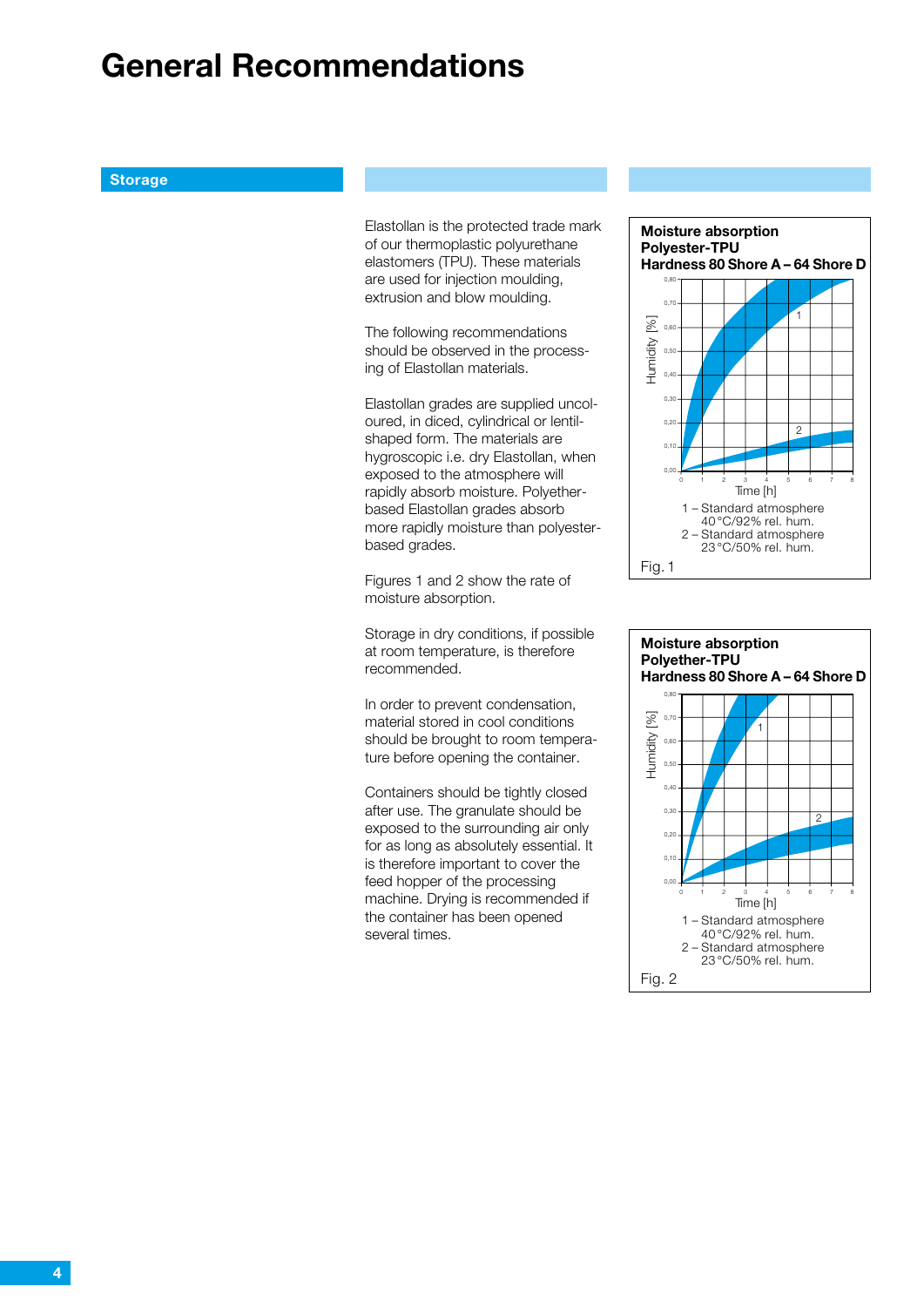### **Storage**

Elastollan is the protected trade mark of our thermoplastic polyurethane elastomers (TPU). These materials are used for injection moulding, extrusion and blow moulding.

The following recommendations should be observed in the processing of Elastollan materials.

Elastollan grades are supplied uncoloured, in diced, cylindrical or lentilshaped form. The materials are hygroscopic i.e. dry Elastollan, when exposed to the atmosphere will rapidly absorb moisture. Polyetherbased Elastollan grades absorb more rapidly moisture than polyesterbased grades.

Figures 1 and 2 show the rate of moisture absorption.

Storage in dry conditions, if possible at room temperature, is therefore recommended.

In order to prevent condensation, material stored in cool conditions should be brought to room temperature before opening the container.

Containers should be tightly closed after use. The granulate should be exposed to the surrounding air only for as long as absolutely essential. It is therefore important to cover the feed hopper of the processing machine. Drying is recommended if the container has been opened several times.



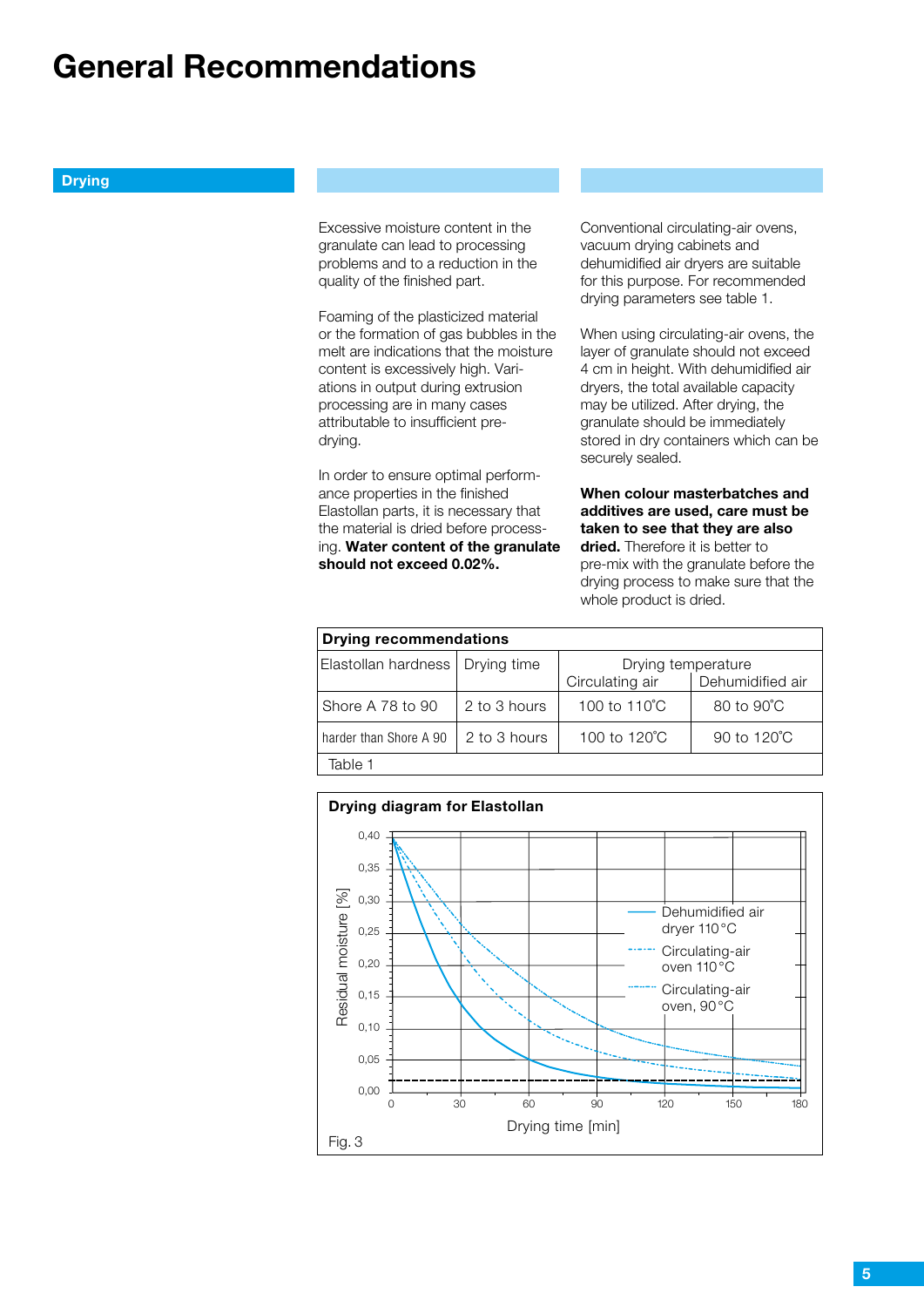### **Drying**

Excessive moisture content in the granulate can lead to processing problems and to a reduction in the quality of the finished part.

Foaming of the plasticized material or the formation of gas bubbles in the melt are indications that the moisture content is excessively high. Variations in output during extrusion processing are in many cases attributable to insufficient predrying.

In order to ensure optimal performance properties in the finished Elastollan parts, it is necessary that the material is dried before processing. **Water content of the granulate should not exceed 0.02%.**

Conventional circulating-air ovens, vacuum drying cabinets and dehumidified air dryers are suitable for this purpose. For recommended drying parameters see table 1.

When using circulating-air ovens, the layer of granulate should not exceed 4 cm in height. With dehumidified air dryers, the total available capacity may be utilized. After drying, the granulate should be immediately stored in dry containers which can be securely sealed.

#### **When colour masterbatches and additives are used, care must be taken to see that they are also dried.** Therefore it is better to

pre-mix with the granulate before the drying process to make sure that the whole product is dried.

| <b>Drying recommendations</b>                           |              |                 |                  |  |  |  |  |  |
|---------------------------------------------------------|--------------|-----------------|------------------|--|--|--|--|--|
| Elastollan hardness   Drying time<br>Drying temperature |              |                 |                  |  |  |  |  |  |
|                                                         |              | Circulating air | Dehumidified air |  |  |  |  |  |
| Shore A 78 to 90                                        | 2 to 3 hours | 100 to 110°C    | 80 to 90°C       |  |  |  |  |  |
| harder than Shore A 90                                  | 2 to 3 hours | 100 to 120°C    | 90 to 120°C      |  |  |  |  |  |
| Table 1                                                 |              |                 |                  |  |  |  |  |  |

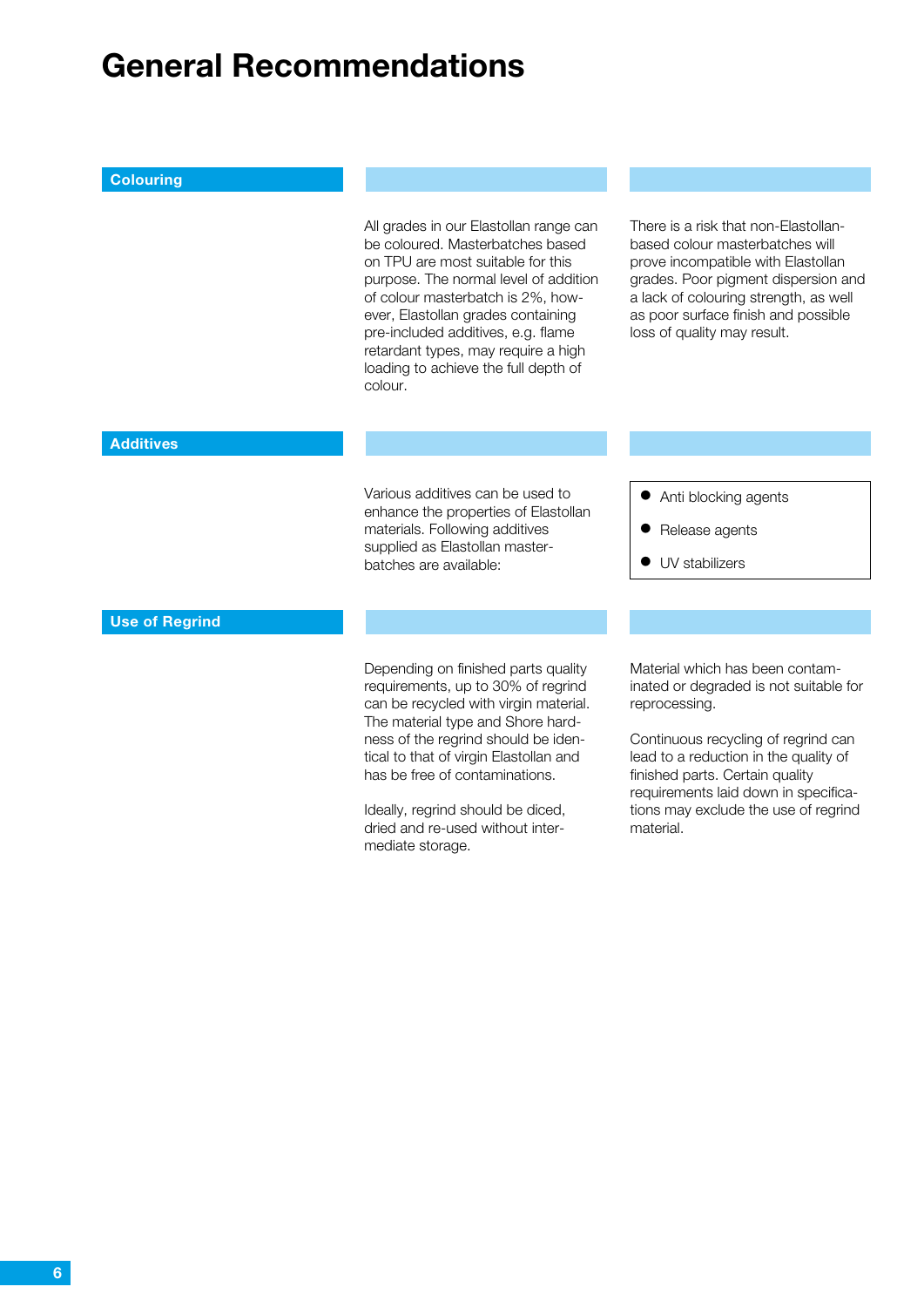### **Colouring**

All grades in our Elastollan range can be coloured. Masterbatches based on TPU are most suitable for this purpose. The normal level of addition of colour masterbatch is 2%, however, Elastollan grades containing pre-included additives, e.g. flame retardant types, may require a high loading to achieve the full depth of colour.

There is a risk that non-Elastollanbased colour masterbatches will prove incompatible with Elastollan grades. Poor pigment dispersion and a lack of colouring strength, as well as poor surface finish and possible loss of quality may result.

#### **Additives**

Various additives can be used to enhance the properties of Elastollan materials. Following additives supplied as Elastollan masterbatches are available:

• Anti blocking agents

Release agents

UV stabilizers

### **Use of Regrind**

Depending on finished parts quality requirements, up to 30% of regrind can be recycled with virgin material. The material type and Shore hardness of the regrind should be identical to that of virgin Elastollan and has be free of contaminations.

Ideally, regrind should be diced, dried and re-used without intermediate storage.

Material which has been contaminated or degraded is not suitable for reprocessing.

Continuous recycling of regrind can lead to a reduction in the quality of finished parts. Certain quality requirements laid down in specifications may exclude the use of regrind material.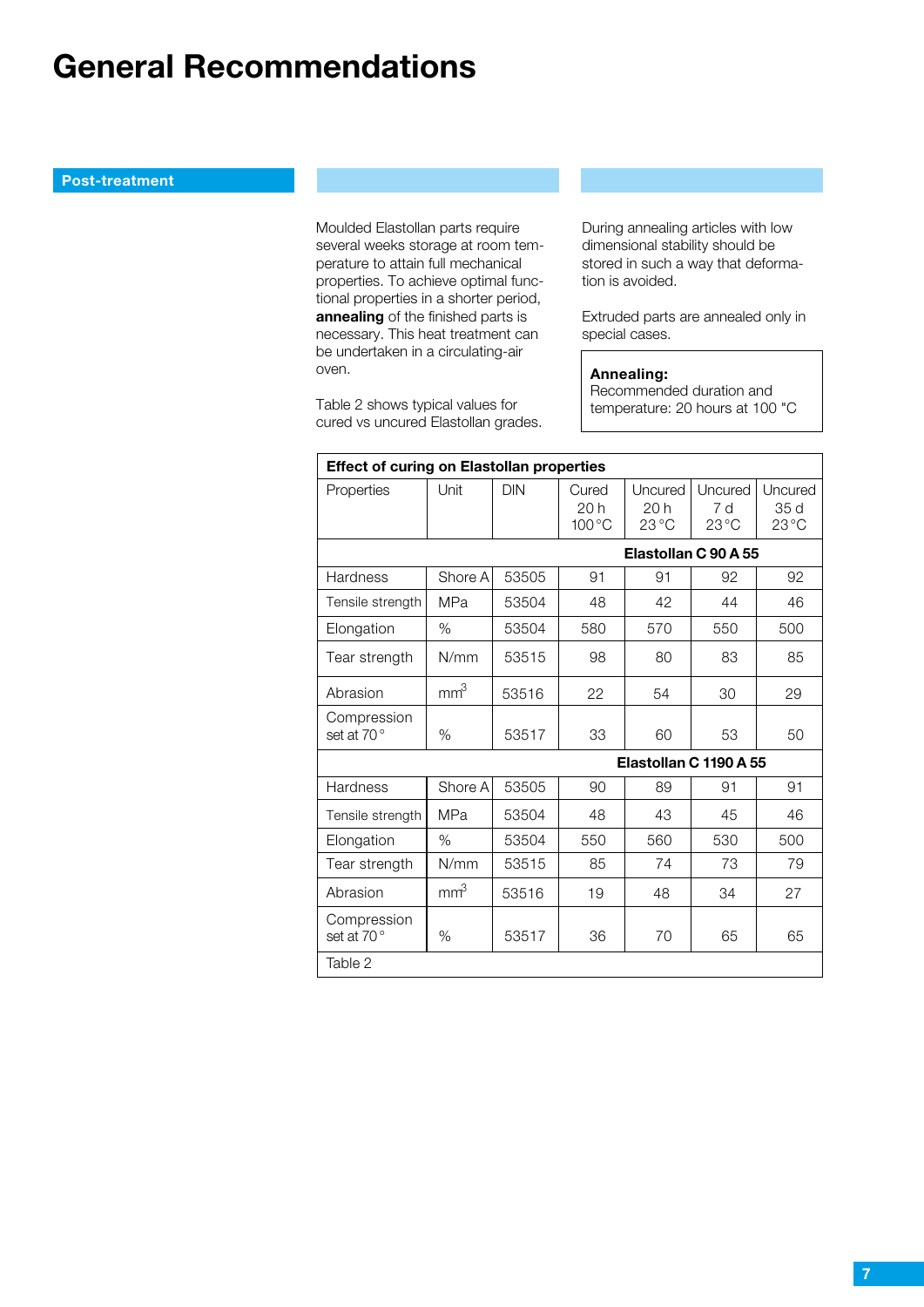### **Post-treatment**

Moulded Elastollan parts require several weeks storage at room temperature to attain full mechanical properties. To achieve optimal functional properties in a shorter period, **annealing** of the finished parts is necessary. This heat treatment can be undertaken in a circulating-air oven.

Table 2 shows typical values for cured vs uncured Elastollan grades. During annealing articles with low dimensional stability should be stored in such a way that deformation is avoided.

Extruded parts are annealed only in special cases.

#### **Annealing:**

Recommended duration and temperature: 20 hours at 100 "C

| <b>Effect of curing on Elastollan properties</b> |                 |            |                                 |                                  |                                  |                                   |  |  |
|--------------------------------------------------|-----------------|------------|---------------------------------|----------------------------------|----------------------------------|-----------------------------------|--|--|
| Properties                                       | Unit            | <b>DIN</b> | Cured<br>20h<br>$100^{\circ}$ C | Uncured<br>20h<br>$23^{\circ}$ C | Uncured<br>7 d<br>$23^{\circ}$ C | Uncured<br>35 d<br>$23^{\circ}$ C |  |  |
| Elastollan C 90 A 55                             |                 |            |                                 |                                  |                                  |                                   |  |  |
| <b>Hardness</b>                                  | Shore A         | 53505      | 91                              | 91                               | 92                               | 92                                |  |  |
| Tensile strength                                 | <b>MPa</b>      | 53504      | 48                              | 42                               | 44                               | 46                                |  |  |
| Elongation                                       | $\%$            | 53504      | 580                             | 570                              | 550                              | 500                               |  |  |
| Tear strength                                    | N/mm            | 53515      | 98                              | 80                               | 83                               | 85                                |  |  |
| Abrasion                                         | mm <sup>3</sup> | 53516      | 22                              | 54                               | 30                               | 29                                |  |  |
| Compression<br>set at 70°                        | %               | 53517      | 33                              | 60                               | 53                               | 50                                |  |  |
|                                                  |                 |            |                                 | Elastollan C 1190 A 55           |                                  |                                   |  |  |
| <b>Hardness</b>                                  | Shore A         | 53505      | 90                              | 89                               | 91                               | 91                                |  |  |
| Tensile strength                                 | <b>MPa</b>      | 53504      | 48                              | 43                               | 45                               | 46                                |  |  |
| Elongation                                       | $\%$            | 53504      | 550                             | 560                              | 530                              | 500                               |  |  |
| Tear strength                                    | N/mm            | 53515      | 85                              | 74                               | 73                               | 79                                |  |  |
| Abrasion                                         | mm <sup>3</sup> | 53516      | 19                              | 48                               | 34                               | 27                                |  |  |
| Compression<br>set at 70°                        | $\%$            | 53517      | 36                              | 70                               | 65                               | 65                                |  |  |
| Table 2                                          |                 |            |                                 |                                  |                                  |                                   |  |  |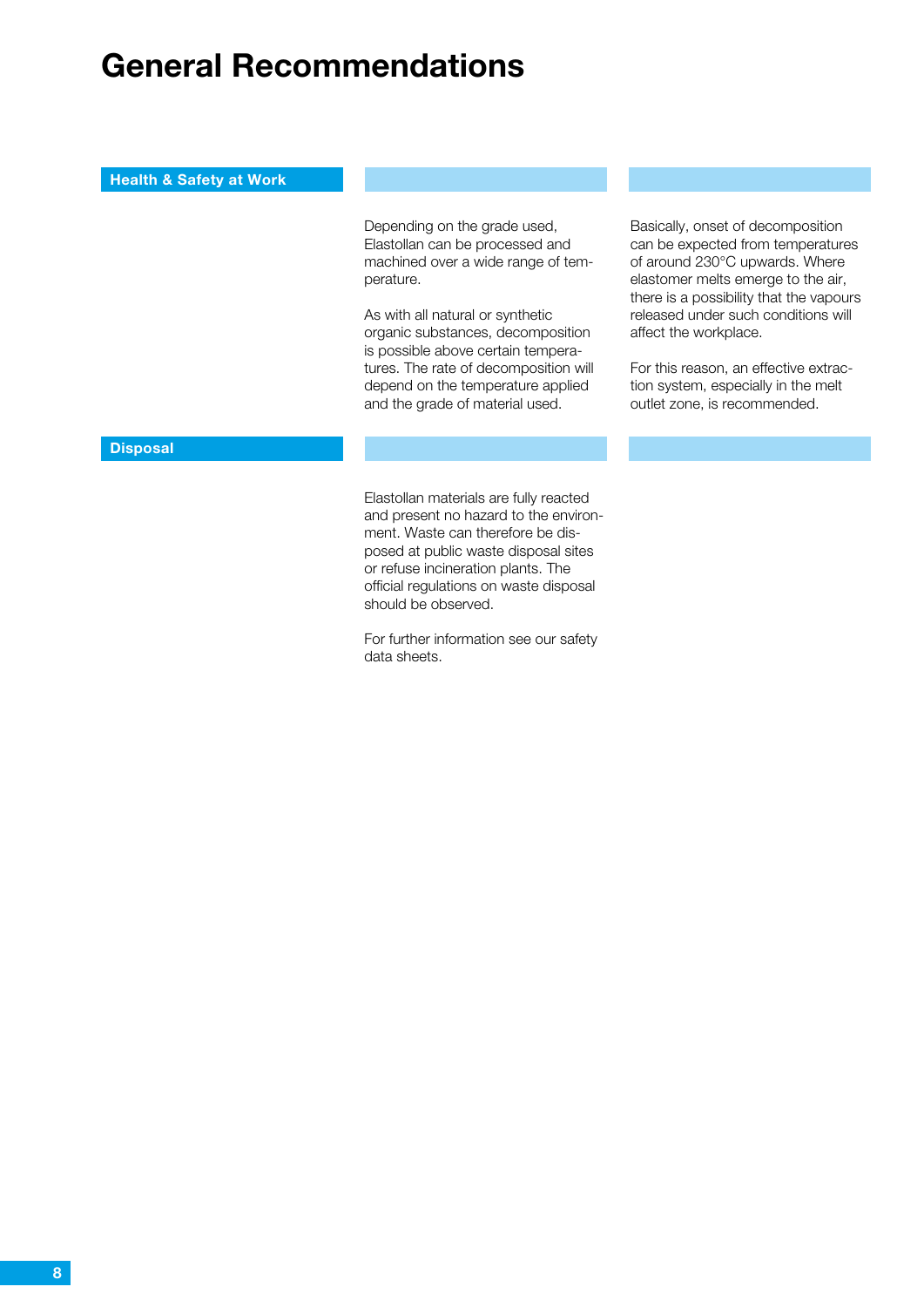### **Health & Safety at Work**

Depending on the grade used, Elastollan can be processed and machined over a wide range of temperature.

As with all natural or synthetic organic substances, decomposition is possible above certain temperatures. The rate of decomposition will depend on the temperature applied and the grade of material used.

Basically, onset of decomposition can be expected from temperatures of around 230°C upwards. Where elastomer melts emerge to the air, there is a possibility that the vapours released under such conditions will affect the workplace.

For this reason, an effective extraction system, especially in the melt outlet zone, is recommended.

#### **Disposal**

Elastollan materials are fully reacted and present no hazard to the environment. Waste can therefore be disposed at public waste disposal sites or refuse incineration plants. The official regulations on waste disposal should be observed.

For further information see our safety data sheets.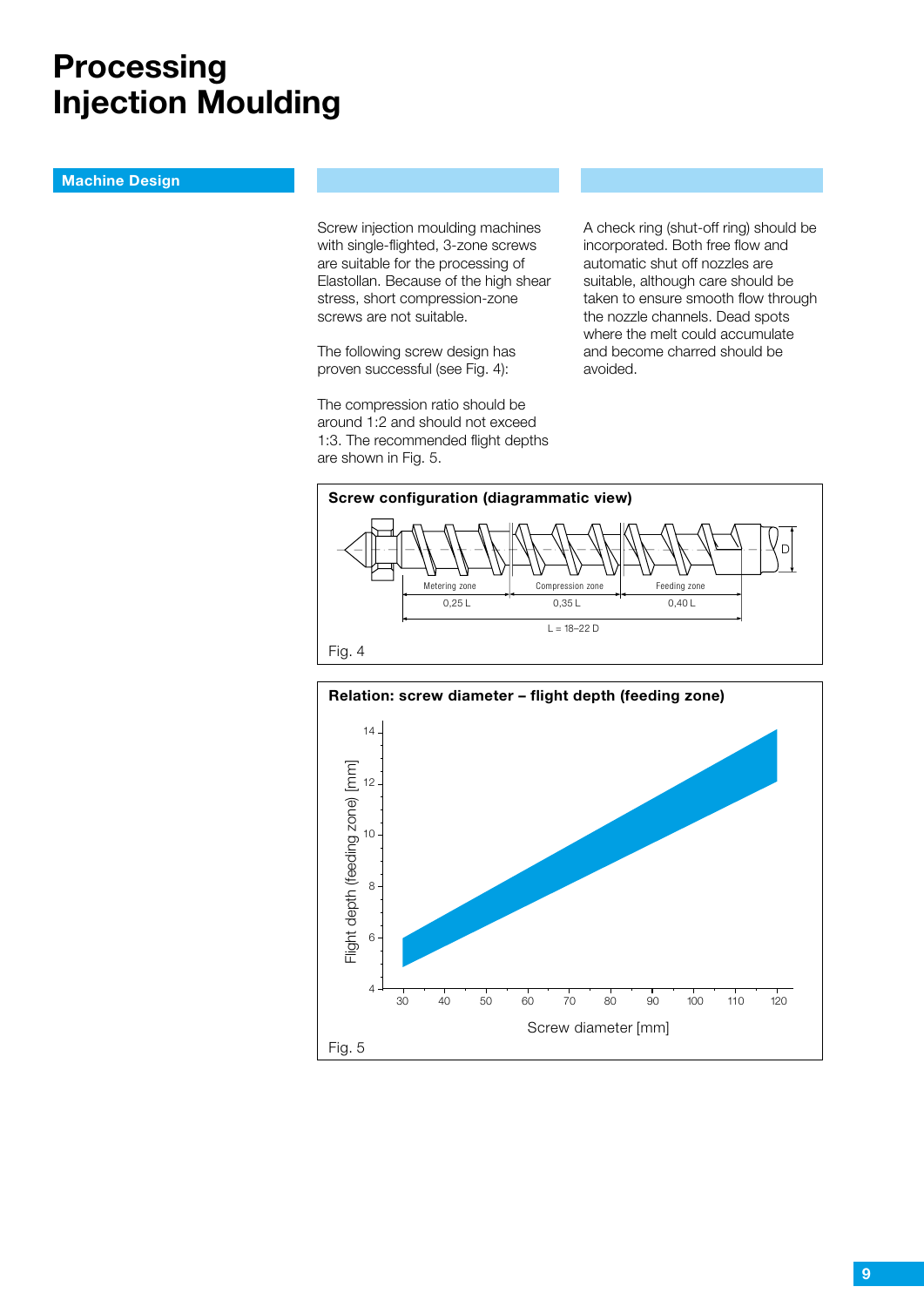### **Machine Design**

Screw injection moulding machines with single-flighted, 3-zone screws are suitable for the processing of Elastollan. Because of the high shear stress, short compression-zone screws are not suitable.

The following screw design has proven successful (see Fig. 4):

The compression ratio should be around 1:2 and should not exceed 1:3. The recommended flight depths are shown in Fig. 5.

A check ring (shut-off ring) should be incorporated. Both free flow and automatic shut off nozzles are suitable, although care should be taken to ensure smooth flow through the nozzle channels. Dead spots where the melt could accumulate and become charred should be avoided.



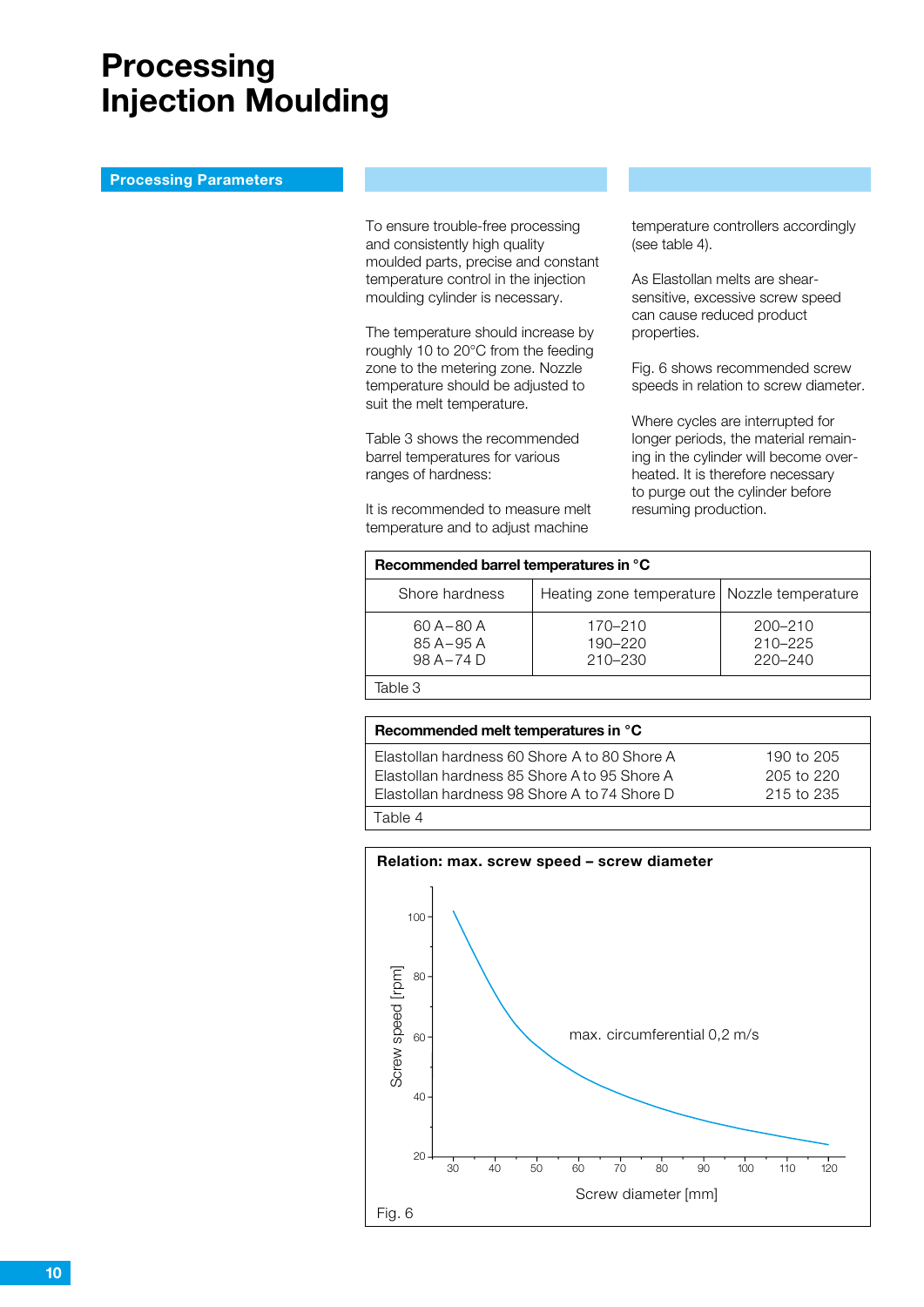#### **Processing Parameters**

To ensure trouble-free processing and consistently high quality moulded parts, precise and constant temperature control in the injection moulding cylinder is necessary.

The temperature should increase by roughly 10 to 20°C from the feeding zone to the metering zone. Nozzle temperature should be adjusted to suit the melt temperature.

Table 3 shows the recommended barrel temperatures for various ranges of hardness:

It is recommended to measure melt temperature and to adjust machine

temperature controllers accordingly (see table 4).

As Elastollan melts are shearsensitive, excessive screw speed can cause reduced product properties.

Fig. 6 shows recommended screw speeds in relation to screw diameter.

Where cycles are interrupted for longer periods, the material remaining in the cylinder will become overheated. It is therefore necessary to purge out the cylinder before resuming production.

| Recommended barrel temperatures in °C     |                                               |                                           |  |  |  |  |  |  |
|-------------------------------------------|-----------------------------------------------|-------------------------------------------|--|--|--|--|--|--|
| Shore hardness                            | Heating zone temperature   Nozzle temperature |                                           |  |  |  |  |  |  |
| $60A - 80A$<br>$85A - 95A$<br>$98A - 74D$ | 170–210<br>190-220<br>$210 - 230$             | $200 - 210$<br>$210 - 225$<br>$220 - 240$ |  |  |  |  |  |  |
| Table 3                                   |                                               |                                           |  |  |  |  |  |  |

| Recommended melt temperatures in °C          |            |
|----------------------------------------------|------------|
| Elastollan hardness 60 Shore A to 80 Shore A | 190 to 205 |
| Elastollan hardness 85 Shore A to 95 Shore A | 205 to 220 |
| Elastollan hardness 98 Shore A to 74 Shore D | 215 to 235 |
| Table 4                                      |            |

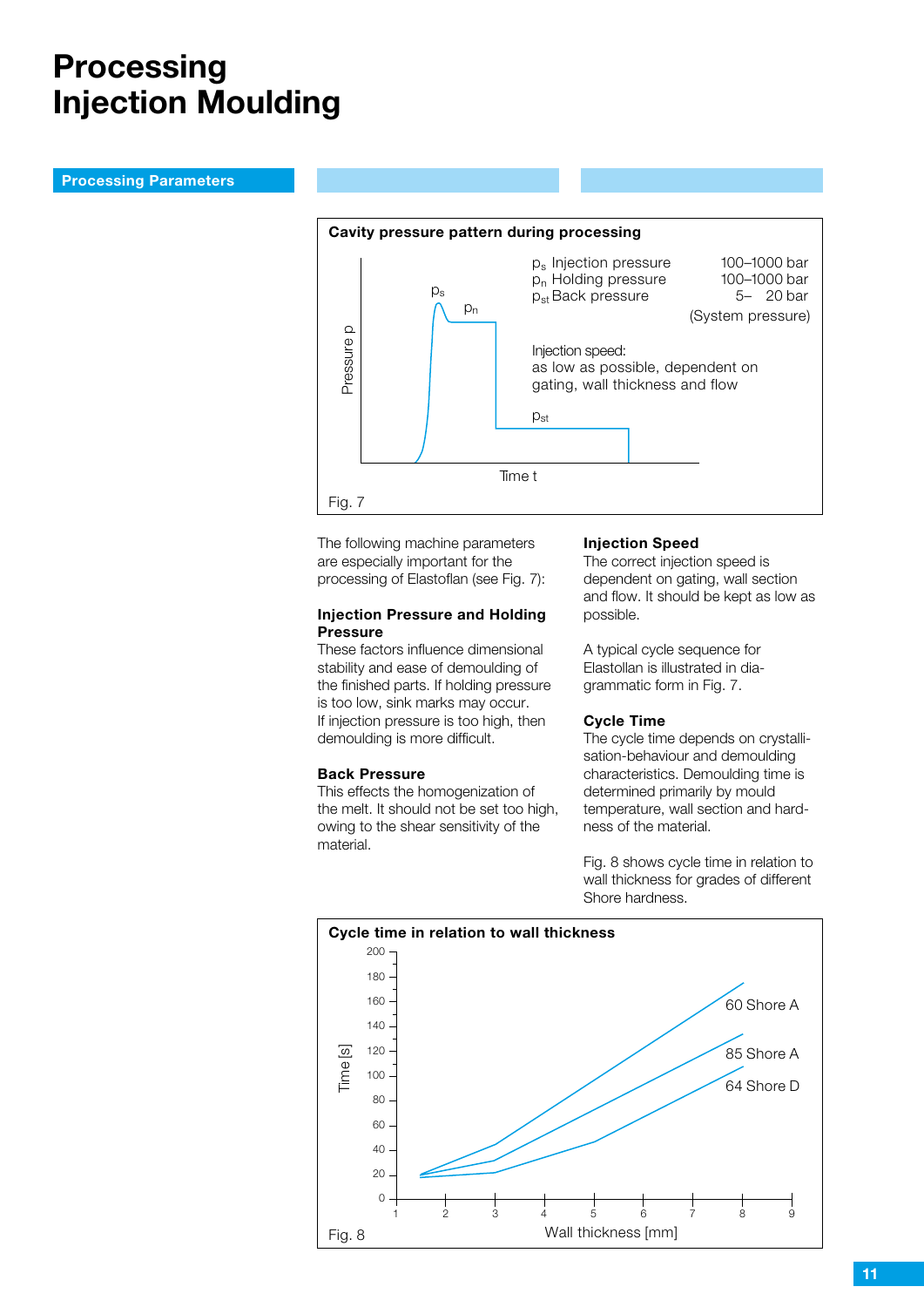### **Processing Parameters**



The following machine parameters are especially important for the processing of Elastoflan (see Fig. 7):

### **Injection Pressure and Holding Pressure**

These factors influence dimensional stability and ease of demoulding of the finished parts. If holding pressure is too low, sink marks may occur. If injection pressure is too high, then demoulding is more difficult.

#### **Back Pressure**

This effects the homogenization of the melt. It should not be set too high, owing to the shear sensitivity of the material.

### **Injection Speed**

The correct injection speed is dependent on gating, wall section and flow. It should be kept as low as possible.

A typical cycle sequence for Elastollan is illustrated in diagrammatic form in Fig. 7.

#### **Cycle Time**

The cycle time depends on crystallisation-behaviour and demoulding characteristics. Demoulding time is determined primarily by mould temperature, wall section and hardness of the material.

Fig. 8 shows cycle time in relation to wall thickness for grades of different Shore hardness.

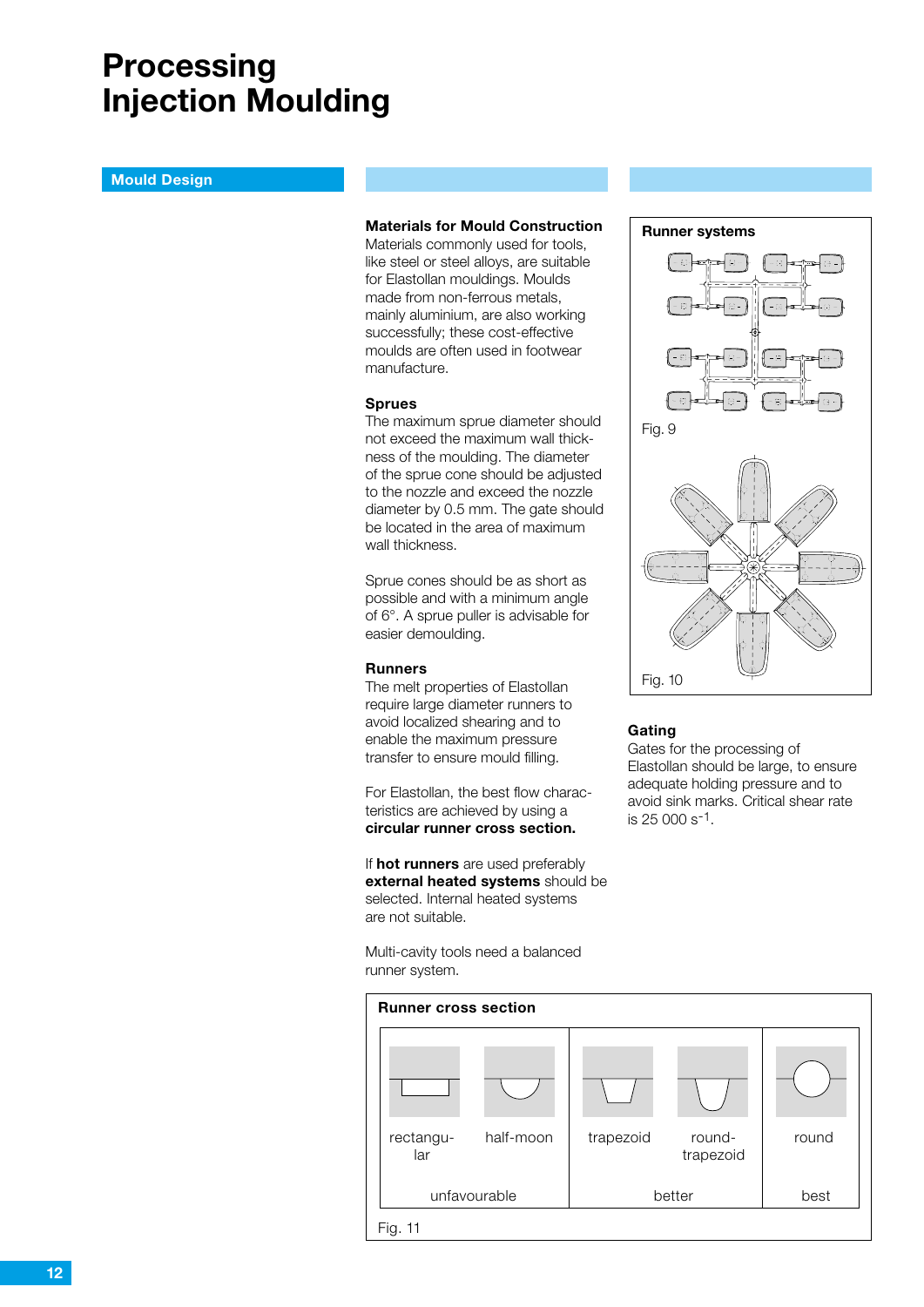### **Mould Design**

#### **Materials for Mould Construction**

Materials commonly used for tools, like steel or steel alloys, are suitable for Elastollan mouldings. Moulds made from non-ferrous metals, mainly aluminium, are also working successfully; these cost-effective moulds are often used in footwear manufacture.

#### **Sprues**

The maximum sprue diameter should not exceed the maximum wall thickness of the moulding. The diameter of the sprue cone should be adjusted to the nozzle and exceed the nozzle diameter by 0.5 mm. The gate should be located in the area of maximum wall thickness.

Sprue cones should be as short as possible and with a minimum angle of 6°. A sprue puller is advisable for easier demoulding.

#### **Runners**

The melt properties of Elastollan require large diameter runners to avoid localized shearing and to enable the maximum pressure transfer to ensure mould filling.

For Elastollan, the best flow characteristics are achieved by using a **circular runner cross section.**

If **hot runners** are used preferably **external heated systems** should be selected. Internal heated systems are not suitable.

Multi-cavity tools need a balanced runner system.



#### **Runner systems**



#### **Gating**

Gates for the processing of Elastollan should be large, to ensure adequate holding pressure and to avoid sink marks. Critical shear rate is 25 000 s-1.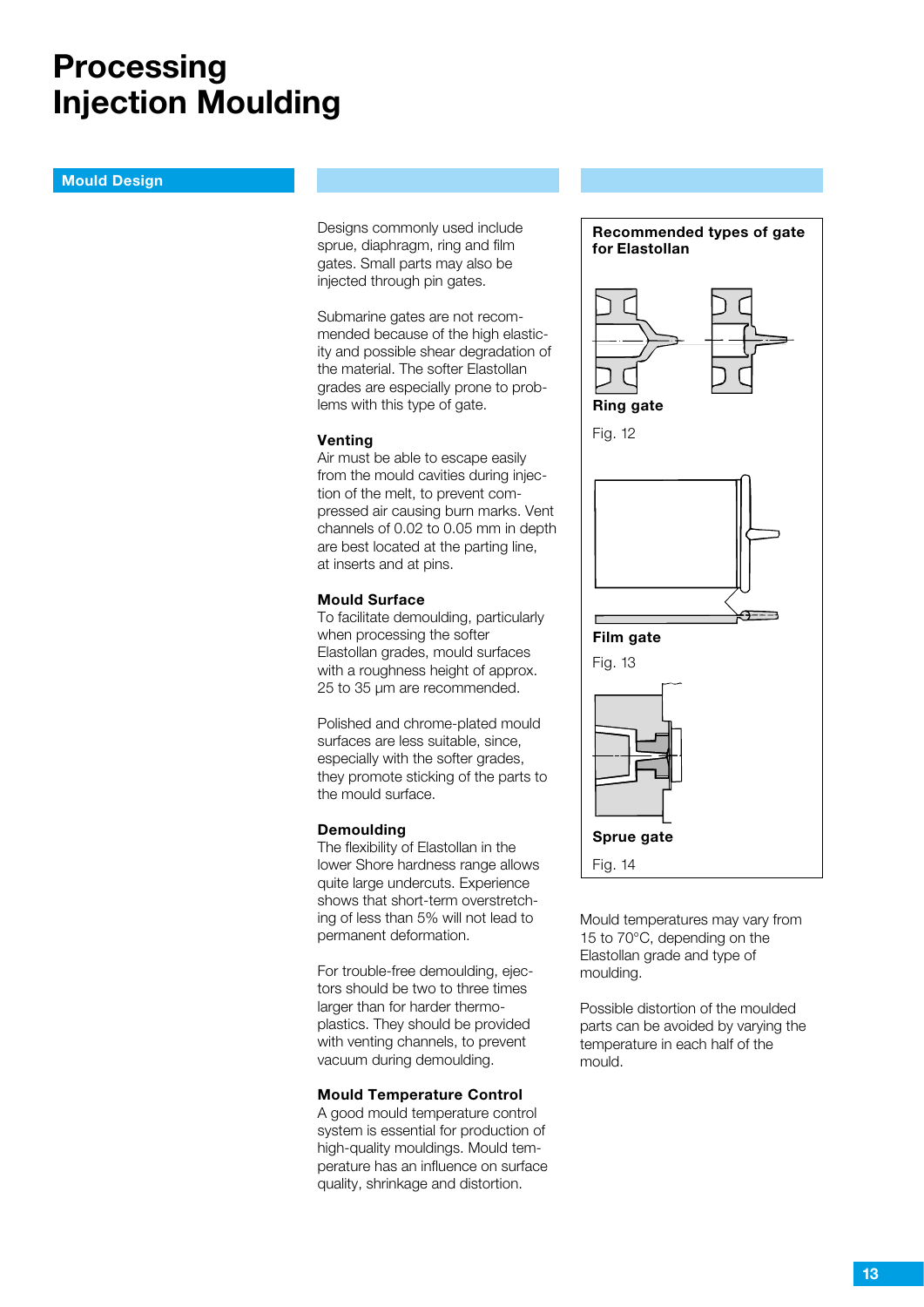### **Mould Design**

Designs commonly used include sprue, diaphragm, ring and film gates. Small parts may also be injected through pin gates.

Submarine gates are not recommended because of the high elasticity and possible shear degradation of the material. The softer Elastollan grades are especially prone to problems with this type of gate.

### **Venting**

Air must be able to escape easily from the mould cavities during injection of the melt, to prevent compressed air causing burn marks. Vent channels of 0.02 to 0.05 mm in depth are best located at the parting line, at inserts and at pins.

### **Mould Surface**

To facilitate demoulding, particularly when processing the softer Elastollan grades, mould surfaces with a roughness height of approx. 25 to 35 µm are recommended.

Polished and chrome-plated mould surfaces are less suitable, since, especially with the softer grades, they promote sticking of the parts to the mould surface.

### **Demoulding**

The flexibility of Elastollan in the lower Shore hardness range allows quite large undercuts. Experience shows that short-term overstretching of less than 5% will not lead to permanent deformation.

For trouble-free demoulding, ejectors should be two to three times larger than for harder thermoplastics. They should be provided with venting channels, to prevent vacuum during demoulding.

### **Mould Temperature Control**

A good mould temperature control system is essential for production of high-quality mouldings. Mould temperature has an influence on surface quality, shrinkage and distortion.



Mould temperatures may vary from 15 to 70°C, depending on the Elastollan grade and type of moulding.

Possible distortion of the moulded parts can be avoided by varying the temperature in each half of the mould.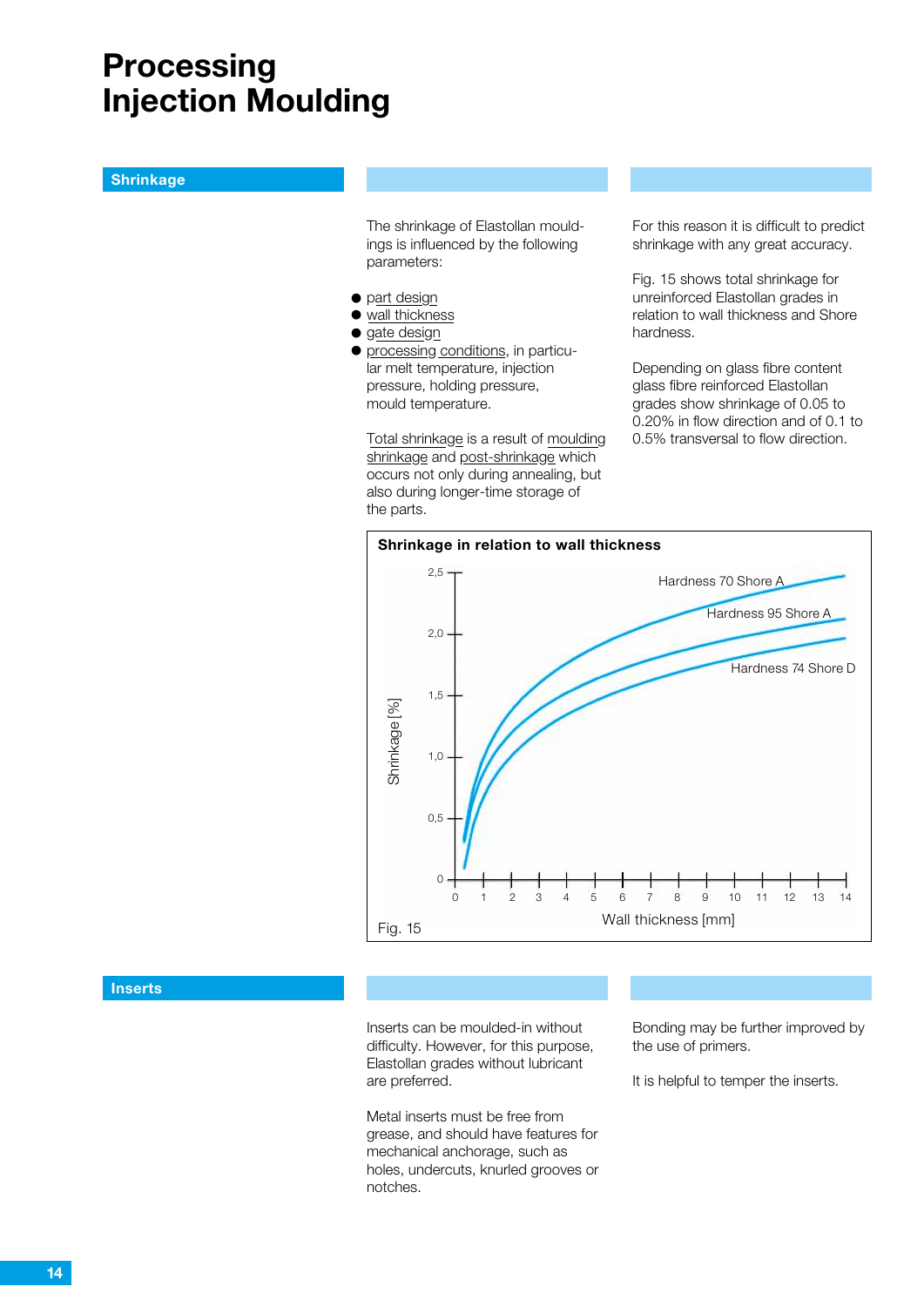### **Shrinkage**

The shrinkage of Elastollan mouldings is influenced by the following parameters:

- part design  $\bullet$
- wall thickness •
- gate design  $\bullet$
- processing conditions, in particular melt temperature, injection pressure, holding pressure, mould temperature.  $\ddot{\bullet}$

Total shrinkage is a result of moulding shrinkage and post-shrinkage which occurs not only during annealing, but also during longer-time storage of the parts.

For this reason it is difficult to predict shrinkage with any great accuracy.

Fig. 15 shows total shrinkage for unreinforced Elastollan grades in relation to wall thickness and Shore hardness.

Depending on glass fibre content glass fibre reinforced Elastollan grades show shrinkage of 0.05 to 0.20% in flow direction and of 0.1 to 0.5% transversal to flow direction.



#### **Inserts**

Inserts can be moulded-in without difficulty. However, for this purpose, Elastollan grades without lubricant are preferred.

Metal inserts must be free from grease, and should have features for mechanical anchorage, such as holes, undercuts, knurled grooves or notches.

Bonding may be further improved by the use of primers.

It is helpful to temper the inserts.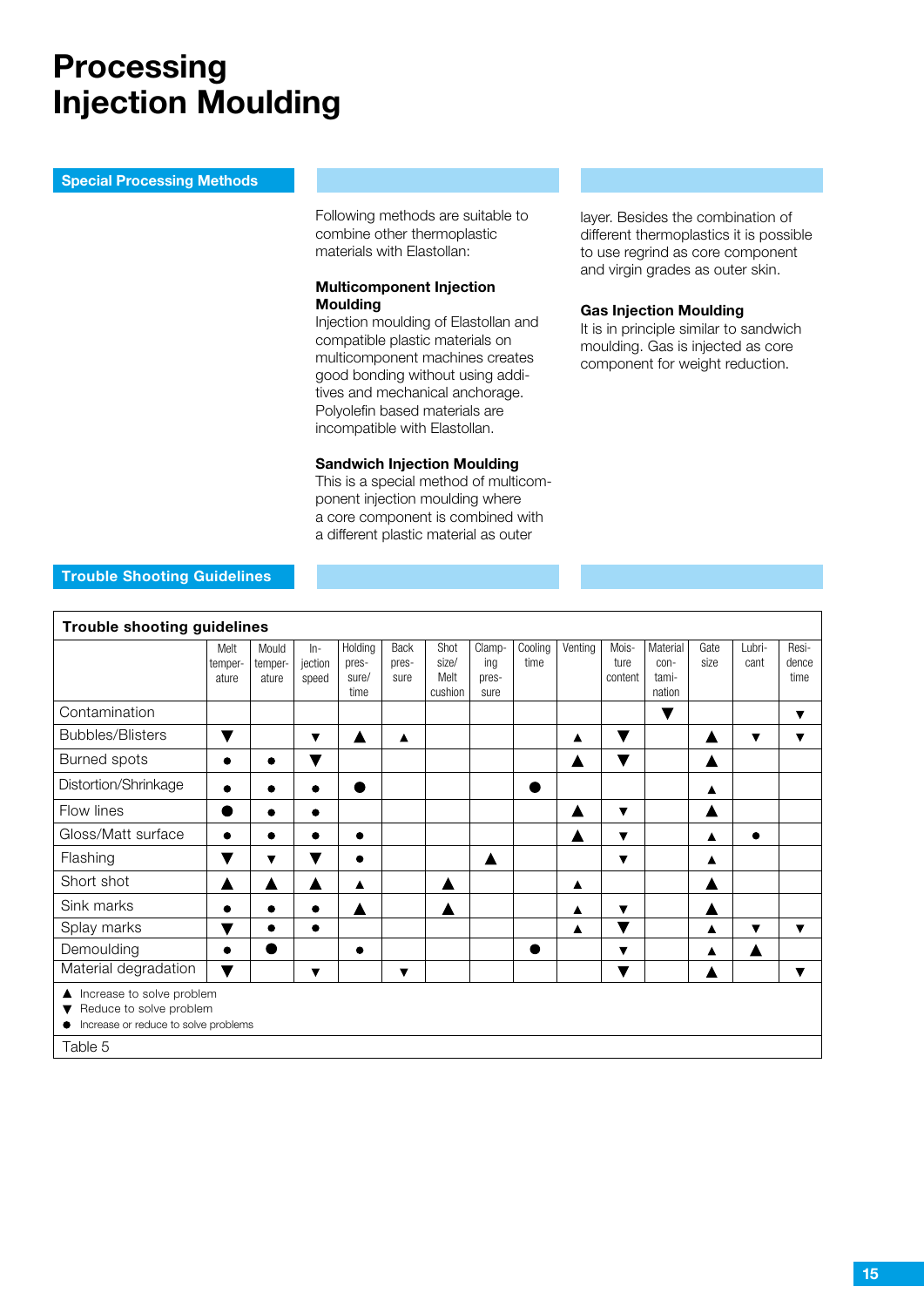### **Special Processing Methods**

Following methods are suitable to combine other thermoplastic materials with Elastollan:

### **Multicomponent Injection Moulding**

Injection moulding of Elastollan and compatible plastic materials on multicomponent machines creates good bonding without using additives and mechanical anchorage. Polyolefin based materials are incompatible with Elastollan.

### **Sandwich Injection Moulding**

This is a special method of multicomponent injection moulding where a core component is combined with a different plastic material as outer

layer. Besides the combination of different thermoplastics it is possible to use regrind as core component and virgin grades as outer skin.

### **Gas Injection Moulding**

It is in principle similar to sandwich moulding. Gas is injected as core component for weight reduction.

| <b>Trouble Shooting Guidelines</b> |  |  |
|------------------------------------|--|--|
|                                    |  |  |

| <b>Trouble shooting guidelines</b>                                                                      |                 |                  |                         |                  |                         |                 |               |                 |         |                         |                  |              |                |                         |
|---------------------------------------------------------------------------------------------------------|-----------------|------------------|-------------------------|------------------|-------------------------|-----------------|---------------|-----------------|---------|-------------------------|------------------|--------------|----------------|-------------------------|
|                                                                                                         | Melt<br>temper- | Mould<br>temper- | $ln -$<br>jection       | Holding<br>pres- | Back<br>pres-           | Shot<br>size/   | Clamp-<br>ing | Cooling<br>time | Venting | Mois-<br>ture           | Material<br>con- | Gate<br>size | Lubri-<br>cant | Resi-<br>dence          |
|                                                                                                         | ature           | ature            | speed                   | sure/<br>time    | sure                    | Melt<br>cushion | pres-<br>sure |                 |         | content                 | tami-<br>nation  |              |                | time                    |
| Contamination                                                                                           |                 |                  |                         |                  |                         |                 |               |                 |         |                         | ▼                |              |                | ▼                       |
| <b>Bubbles/Blisters</b>                                                                                 |                 |                  | ▼                       | ▲                | ▲                       |                 |               |                 | ▲       | v                       |                  | ▲            | ▼              | $\overline{\textbf{v}}$ |
| Burned spots                                                                                            |                 |                  | v                       |                  |                         |                 |               |                 | Ζ       | v                       |                  |              |                |                         |
| Distortion/Shrinkage                                                                                    |                 |                  |                         |                  |                         |                 |               |                 |         |                         |                  | A            |                |                         |
| Flow lines                                                                                              |                 |                  | ٠                       |                  |                         |                 |               |                 | ▲       | ▼                       |                  | ▲            |                |                         |
| Gloss/Matt surface                                                                                      | ٠               |                  | ٠                       |                  |                         |                 |               |                 | ▲       | $\overline{\textbf{v}}$ |                  | ▲            | ٠              |                         |
| Flashing                                                                                                | v               | ▼                | v                       |                  |                         |                 |               |                 |         | ▼                       |                  | A            |                |                         |
| Short shot                                                                                              | ▲               |                  |                         |                  |                         | ▲               |               |                 | ▲       |                         |                  |              |                |                         |
| Sink marks                                                                                              |                 |                  |                         |                  |                         |                 |               |                 | ▲       | $\overline{\textbf{v}}$ |                  |              |                |                         |
| Splay marks                                                                                             | ▼               |                  | $\bullet$               |                  |                         |                 |               |                 | ▲       | ▼                       |                  | A            | ▼              | ▼                       |
| Demoulding                                                                                              | $\bullet$       |                  |                         | ٠                |                         |                 |               | $\bullet$       |         | ▼                       |                  | ▲            |                |                         |
| Material degradation                                                                                    | ▼               |                  | $\overline{\mathbf{v}}$ |                  | $\overline{\textbf{v}}$ |                 |               |                 |         | ▼                       |                  |              |                | ▼                       |
| Increase to solve problem<br>Reduce to solve problem<br>Increase or reduce to solve problems<br>Toblo 5 |                 |                  |                         |                  |                         |                 |               |                 |         |                         |                  |              |                |                         |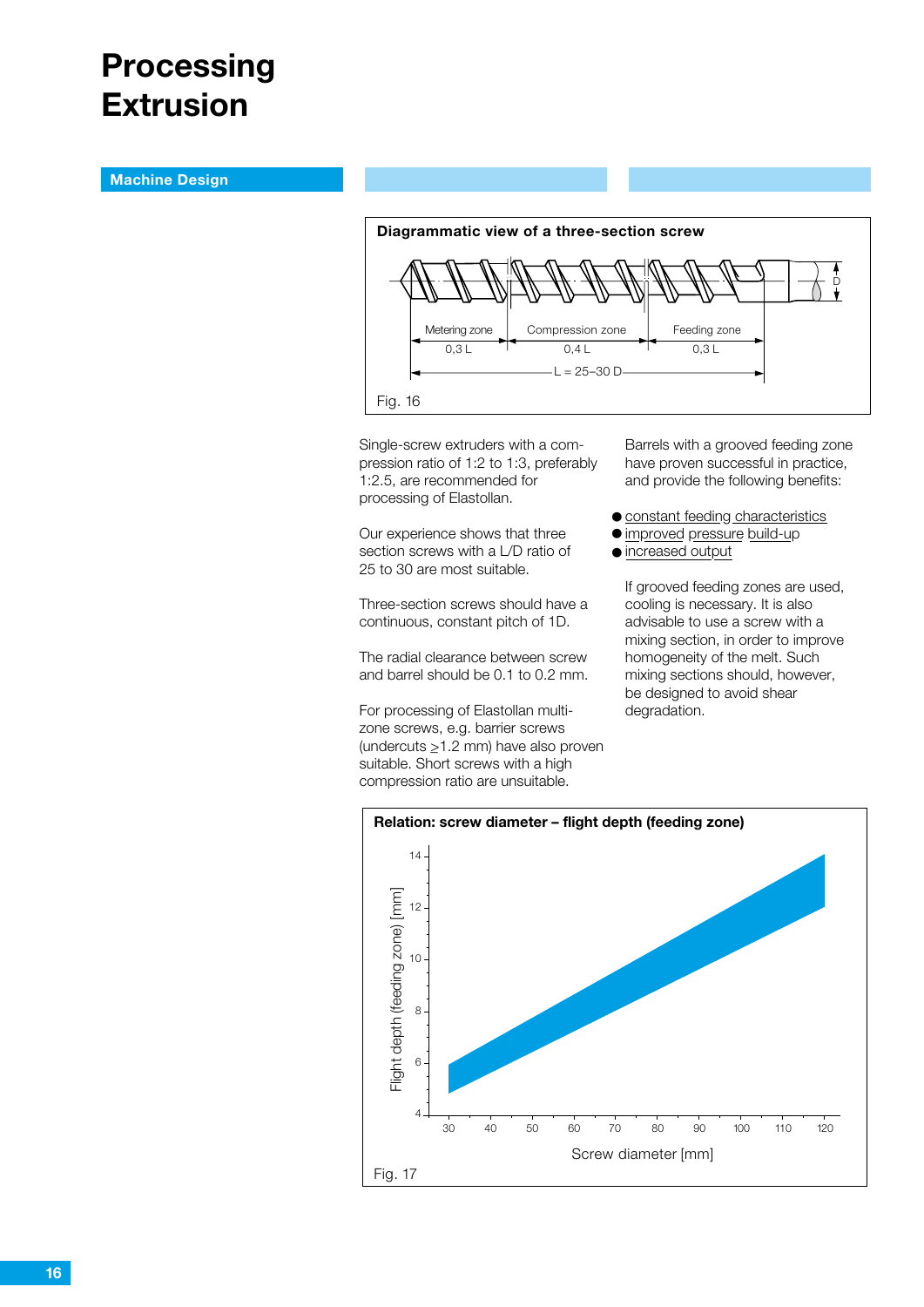**Machine Design**

### **Diagrammatic view of a three-section screw**



Single-screw extruders with a compression ratio of 1:2 to 1:3, preferably 1:2.5, are recommended for processing of Elastollan.

Our experience shows that three section screws with a L/D ratio of 25 to 30 are most suitable.

Three-section screws should have a continuous, constant pitch of 1D.

The radial clearance between screw and barrel should be 0.1 to 0.2 mm.

For processing of Elastollan multizone screws, e.g. barrier screws  $($ undercuts  $\geq$ 1.2 mm $)$  have also proven suitable. Short screws with a high compression ratio are unsuitable.

Barrels with a grooved feeding zone have proven successful in practice, and provide the following benefits:

- constant feeding characteristics
- improved pressure build-up • increased output
- •

If grooved feeding zones are used, cooling is necessary. It is also advisable to use a screw with a mixing section, in order to improve homogeneity of the melt. Such mixing sections should, however, be designed to avoid shear degradation.

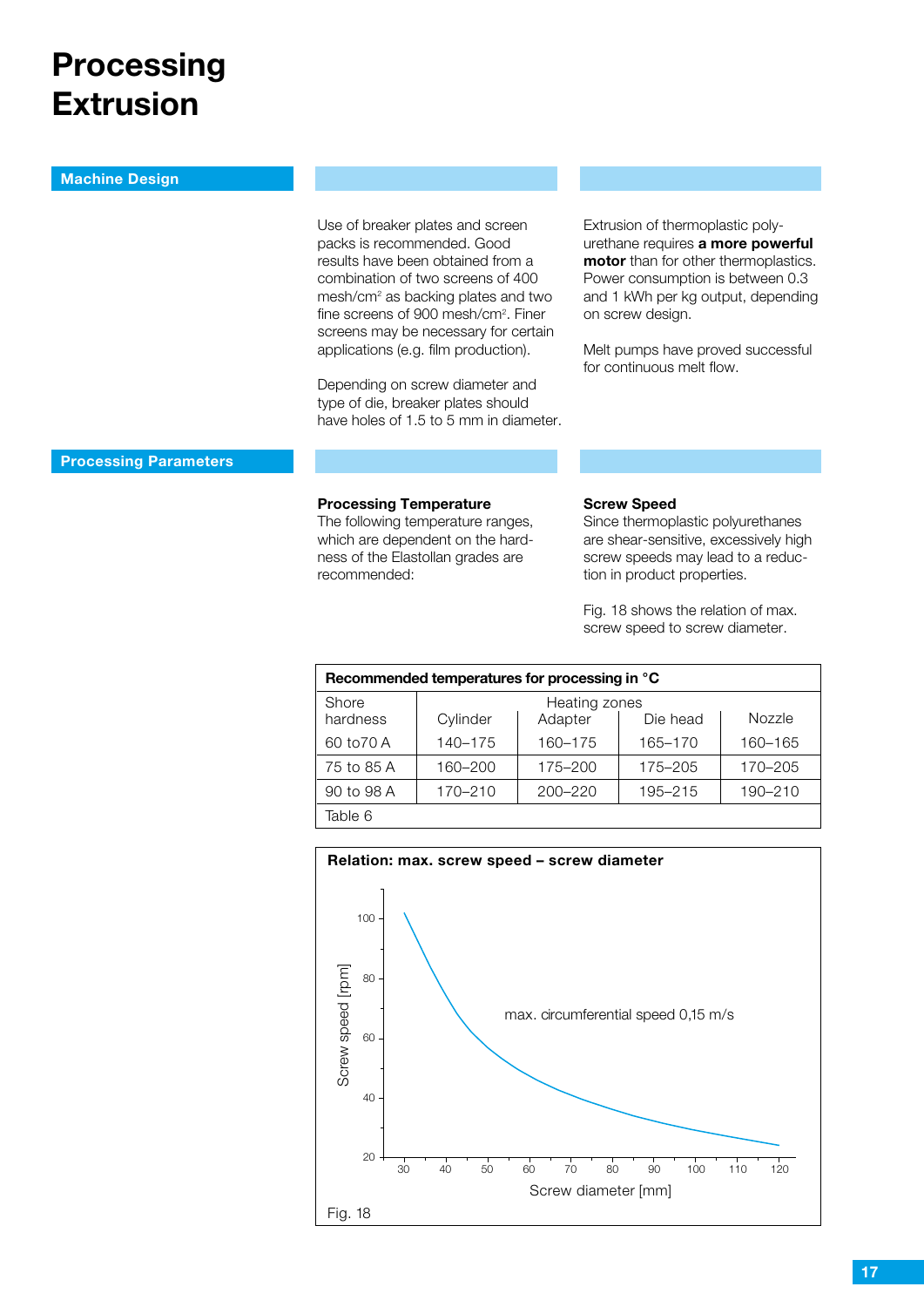#### **Machine Design**

Use of breaker plates and screen packs is recommended. Good results have been obtained from a combination of two screens of 400 mesh/cm<sup>2</sup> as backing plates and two fine screens of 900 mesh/cm<sup>2</sup>. Finer screens may be necessary for certain applications (e.g. film production).

Depending on screw diameter and type of die, breaker plates should have holes of 1.5 to 5 mm in diameter. Extrusion of thermoplastic polyurethane requires **a more powerful motor** than for other thermoplastics. Power consumption is between 0.3 and 1 kWh per kg output, depending on screw design.

Melt pumps have proved successful for continuous melt flow.

#### **Processing Parameters**

#### **Processing Temperature**

The following temperature ranges, which are dependent on the hardness of the Elastollan grades are recommended:

#### **Screw Speed**

Since thermoplastic polyurethanes are shear-sensitive, excessively high screw speeds may lead to a reduction in product properties.

Fig. 18 shows the relation of max. screw speed to screw diameter.

| Recommended temperatures for processing in °C |                                                            |         |         |         |  |  |  |  |
|-----------------------------------------------|------------------------------------------------------------|---------|---------|---------|--|--|--|--|
| Shore<br>hardness                             | Heating zones<br>Adapter<br>Die head<br>Cylinder<br>Nozzle |         |         |         |  |  |  |  |
| 60 to 70 A                                    | 140-175                                                    | 160-175 | 165-170 | 160-165 |  |  |  |  |
| 75 to 85 A                                    | 160-200                                                    | 175-200 | 175-205 | 170-205 |  |  |  |  |
| 90 to 98 A                                    | 170-210                                                    | 200-220 | 195-215 | 190-210 |  |  |  |  |
| Table 6                                       |                                                            |         |         |         |  |  |  |  |

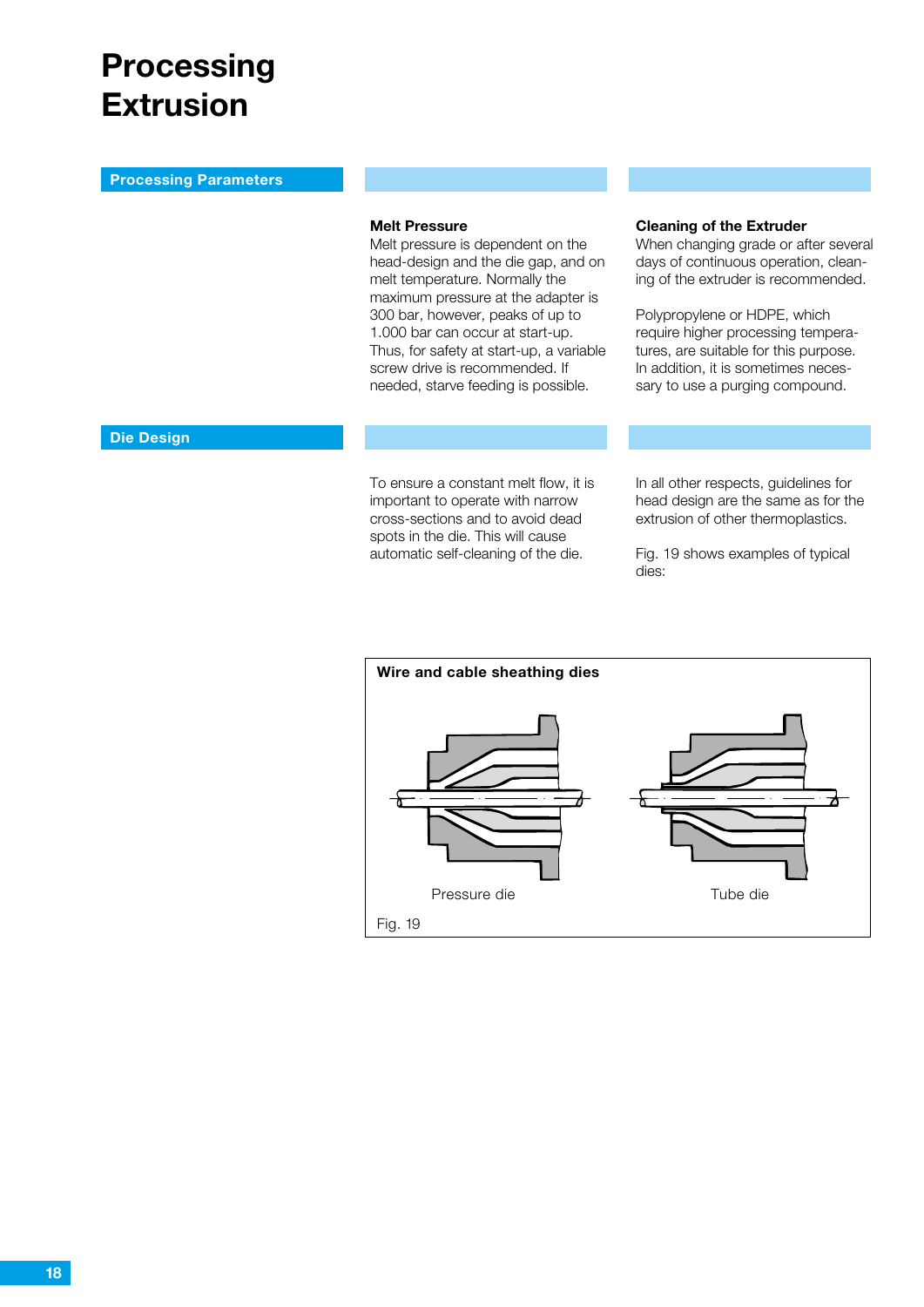### **Processing Parameters**

#### **Melt Pressure**

Melt pressure is dependent on the head-design and the die gap, and on melt temperature. Normally the maximum pressure at the adapter is 300 bar, however, peaks of up to 1.000 bar can occur at start-up. Thus, for safety at start-up, a variable screw drive is recommended. If needed, starve feeding is possible.

#### **Cleaning of the Extruder**

When changing grade or after several days of continuous operation, cleaning of the extruder is recommended.

Polypropylene or HDPE, which require higher processing temperatures, are suitable for this purpose. In addition, it is sometimes necessary to use a purging compound.

### **Die Design**

To ensure a constant melt flow, it is important to operate with narrow cross-sections and to avoid dead spots in the die. This will cause automatic self-cleaning of the die.

In all other respects, guidelines for head design are the same as for the extrusion of other thermoplastics.

Fig. 19 shows examples of typical dies:

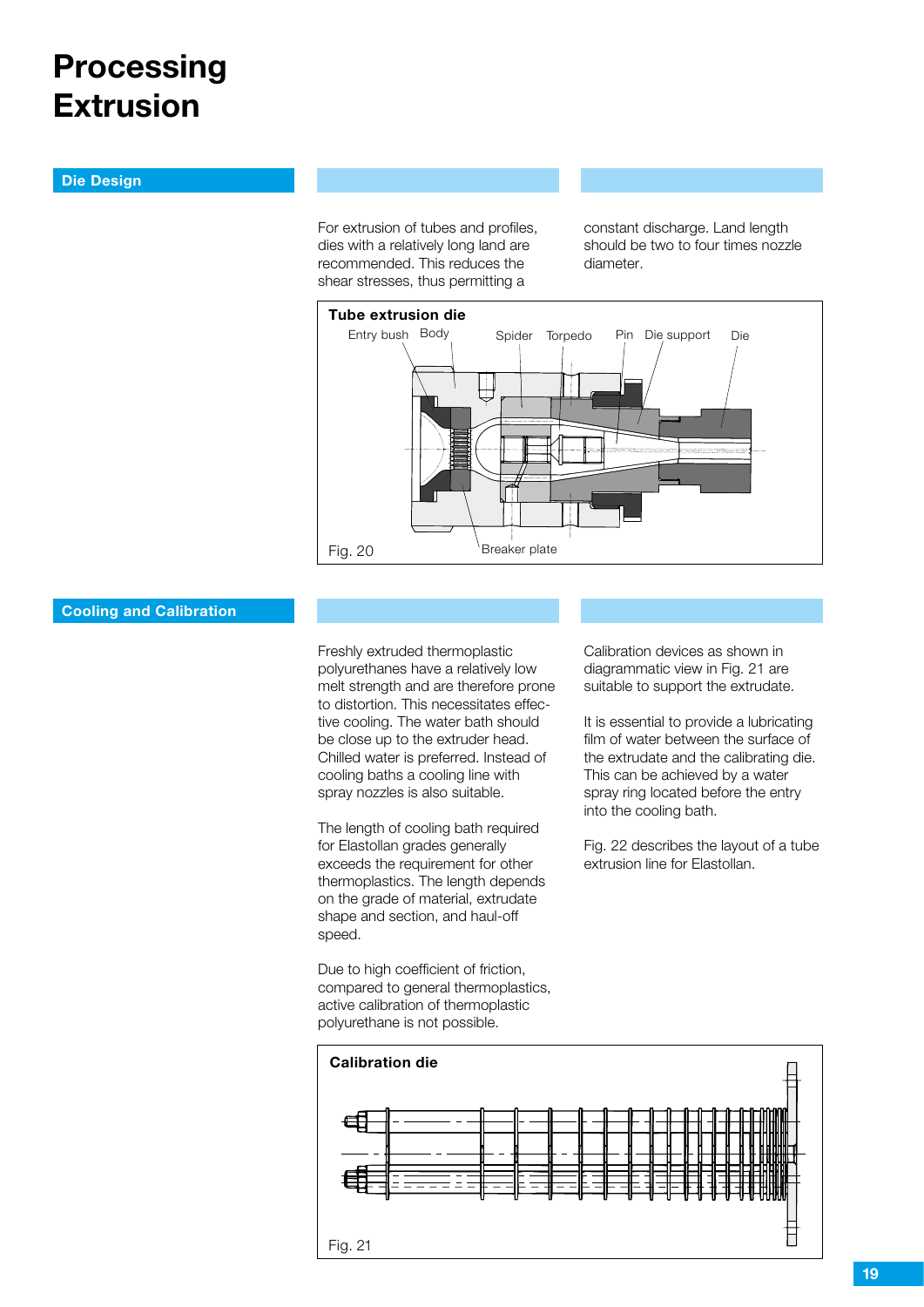### **Die Design**

For extrusion of tubes and profiles, dies with a relatively long land are recommended. This reduces the shear stresses, thus permitting a

constant discharge. Land length should be two to four times nozzle diameter.



### **Cooling and Calibration**

Freshly extruded thermoplastic polyurethanes have a relatively low melt strength and are therefore prone to distortion. This necessitates effective cooling. The water bath should be close up to the extruder head. Chilled water is preferred. Instead of cooling baths a cooling line with spray nozzles is also suitable.

The length of cooling bath required for Elastollan grades generally exceeds the requirement for other thermoplastics. The length depends on the grade of material, extrudate shape and section, and haul-off speed.

Due to high coefficient of friction, compared to general thermoplastics, active calibration of thermoplastic polyurethane is not possible.

Calibration devices as shown in diagrammatic view in Fig. 21 are suitable to support the extrudate.

It is essential to provide a lubricating film of water between the surface of the extrudate and the calibrating die. This can be achieved by a water spray ring located before the entry into the cooling bath.

Fig. 22 describes the layout of a tube extrusion line for Elastollan.



**19**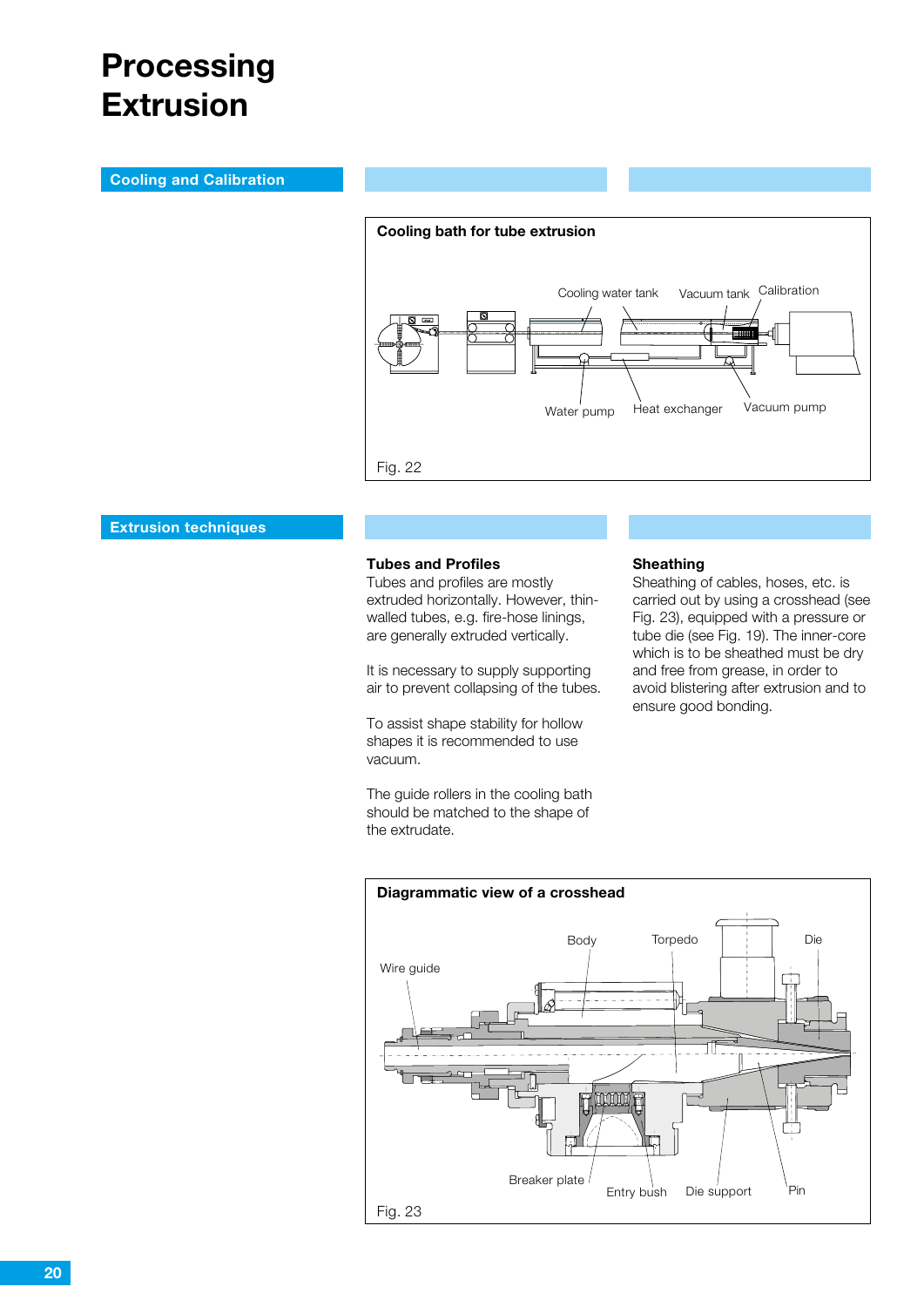### **Cooling and Calibration**

### **Cooling bath for tube extrusion**



### **Extrusion techniques**

#### **Tubes and Profiles**

Tubes and profiles are mostly extruded horizontally. However, thinwalled tubes, e.g. fire-hose linings, are generally extruded vertically.

It is necessary to supply supporting air to prevent collapsing of the tubes.

To assist shape stability for hollow shapes it is recommended to use vacuum.

The guide rollers in the cooling bath should be matched to the shape of the extrudate.

#### **Sheathing**

Sheathing of cables, hoses, etc. is carried out by using a crosshead (see Fig. 23), equipped with a pressure or tube die (see Fig. 19). The inner-core which is to be sheathed must be dry and free from grease, in order to avoid blistering after extrusion and to ensure good bonding.

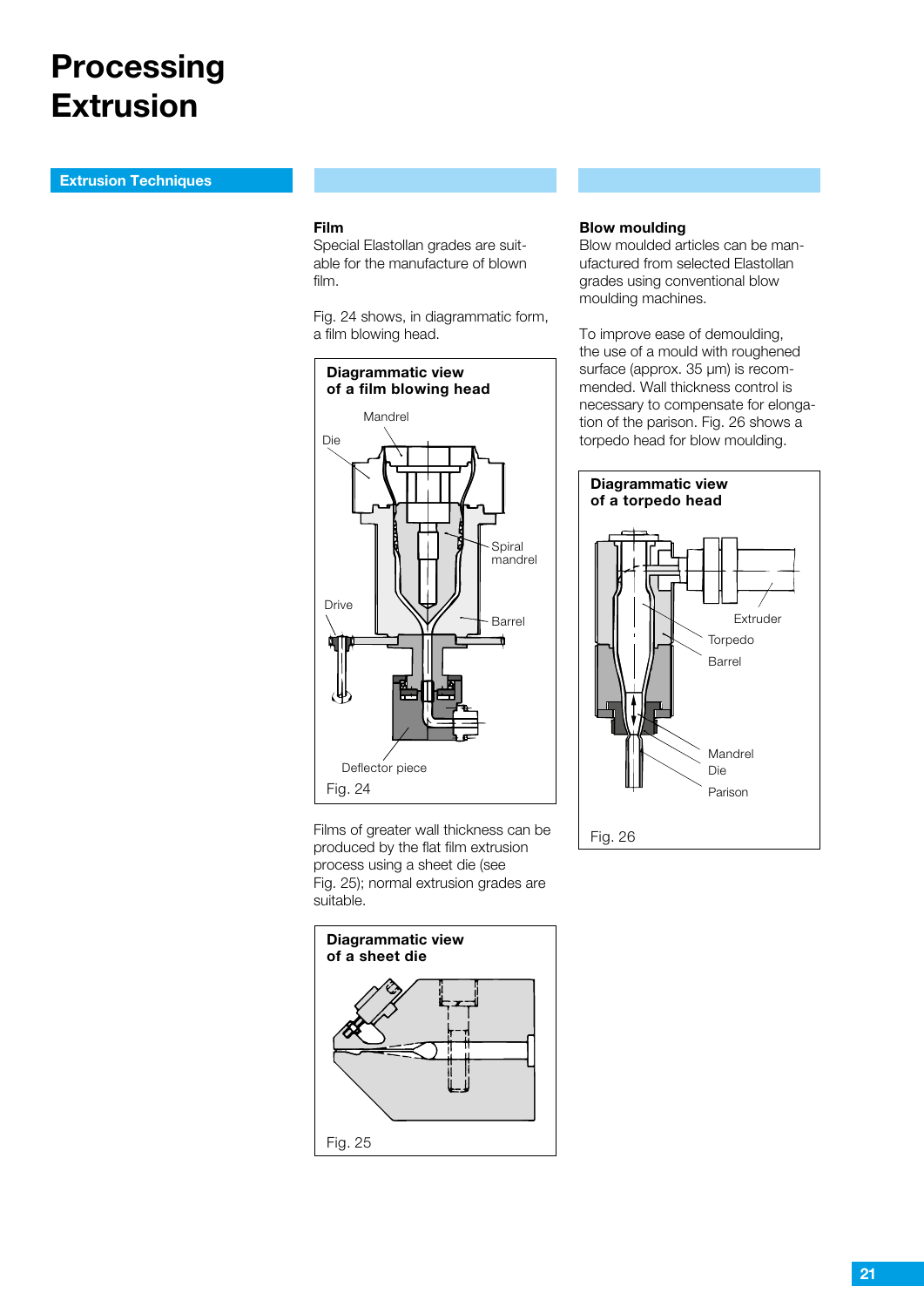### **Extrusion Techniques**

#### **Film**

Special Elastollan grades are suitable for the manufacture of blown film.

Fig. 24 shows, in diagrammatic form, a film blowing head.



Films of greater wall thickness can be produced by the flat film extrusion process using a sheet die (see Fig. 25); normal extrusion grades are suitable.



### **Blow moulding**

Blow moulded articles can be manufactured from selected Elastollan grades using conventional blow moulding machines.

To improve ease of demoulding, the use of a mould with roughened surface (approx. 35 µm) is recommended. Wall thickness control is necessary to compensate for elongation of the parison. Fig. 26 shows a torpedo head for blow moulding.

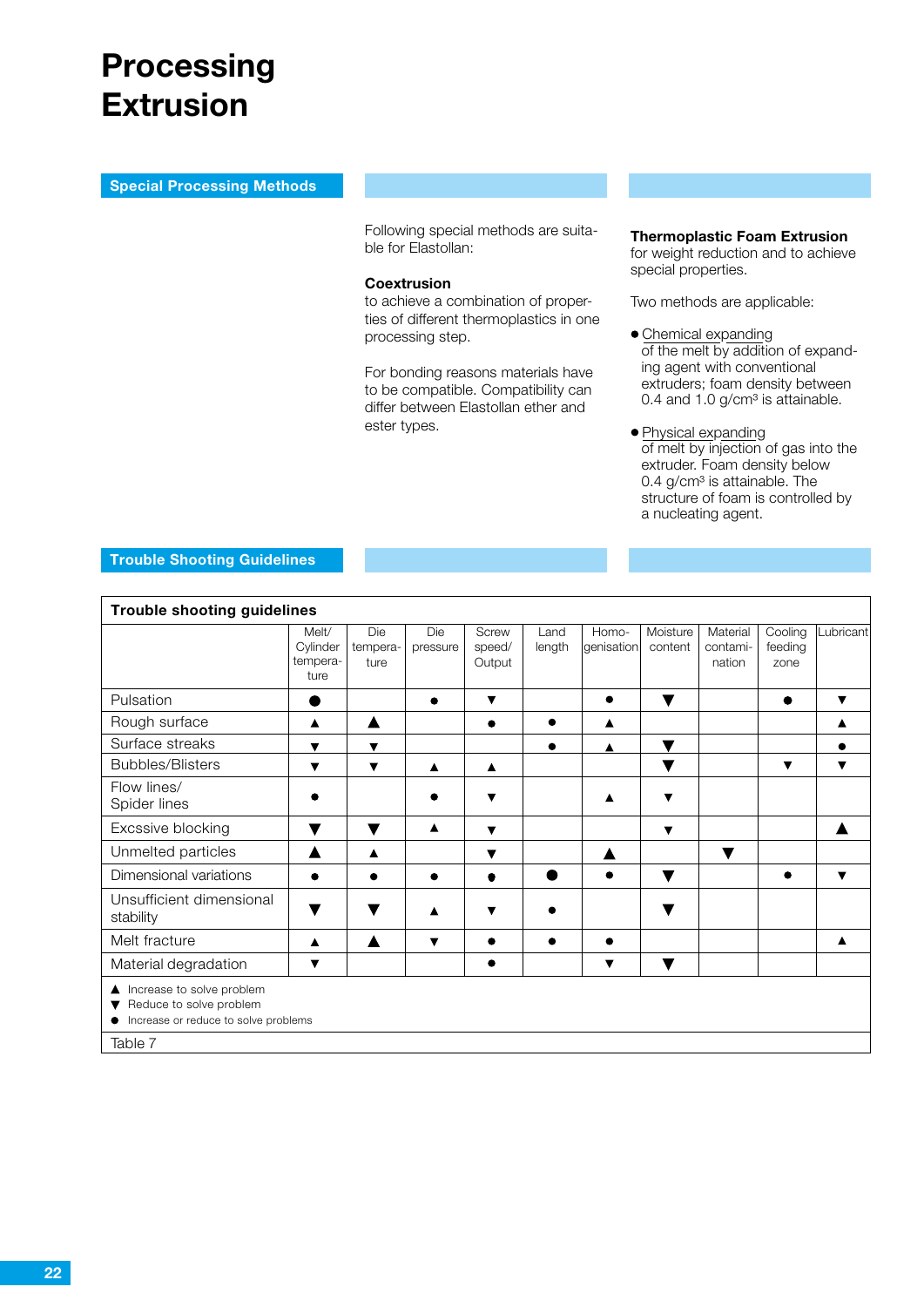### **Special Processing Methods**

Following special methods are suitable for Elastollan:

#### **Coextrusion**

to achieve a combination of properties of different thermoplastics in one processing step.

For bonding reasons materials have to be compatible. Compatibility can differ between Elastollan ether and ester types.

#### **Thermoplastic Foam Extrusion**

for weight reduction and to achieve special properties.

Two methods are applicable:

- Chemical expanding of the melt by addition of expanding agent with conventional extruders; foam density between 0.4 and 1.0  $g/cm<sup>3</sup>$  is attainable.
- Physical expanding of melt by injection of gas into the extruder. Foam density below 0.4 g/cm<sup>3</sup> is attainable. The structure of foam is controlled by a nucleating agent.

### **Trouble Shooting Guidelines**

| <b>Trouble shooting guidelines</b>                                                                 |                                       |                         |                 |                           |                |                     |                     |                                |                            |                         |
|----------------------------------------------------------------------------------------------------|---------------------------------------|-------------------------|-----------------|---------------------------|----------------|---------------------|---------------------|--------------------------------|----------------------------|-------------------------|
|                                                                                                    | Melt/<br>Cylinder<br>tempera-<br>ture | Die<br>tempera-<br>ture | Die<br>pressure | Screw<br>speed/<br>Output | Land<br>length | Homo-<br>genisation | Moisture<br>content | Material<br>contami-<br>nation | Cooling<br>feeding<br>zone | Lubricant               |
| Pulsation                                                                                          |                                       |                         | $\bullet$       | $\blacktriangledown$      |                |                     |                     |                                | $\bullet$                  | $\overline{\textbf{v}}$ |
| Rough surface                                                                                      | ▲                                     |                         |                 |                           |                | ▲                   |                     |                                |                            |                         |
| Surface streaks                                                                                    | ▼                                     | ▼                       |                 |                           |                | ▲                   | ▼                   |                                |                            |                         |
| <b>Bubbles/Blisters</b>                                                                            | ▼                                     | ▼                       |                 |                           |                |                     |                     |                                | ▼                          | $\blacktriangledown$    |
| Flow lines/<br>Spider lines                                                                        |                                       |                         |                 | $\overline{\mathbf{v}}$   |                | ▲                   | ▼                   |                                |                            |                         |
| Excssive blocking                                                                                  | ▼                                     | ▼                       | A               | ▼                         |                |                     | ▼                   |                                |                            |                         |
| Unmelted particles                                                                                 |                                       | ▲                       |                 | ▼                         |                |                     |                     | ▼                              |                            |                         |
| Dimensional variations                                                                             |                                       |                         |                 |                           |                |                     | ▼                   |                                |                            | ▼                       |
| Unsufficient dimensional<br>stability                                                              |                                       |                         |                 | ▼                         |                |                     |                     |                                |                            |                         |
| Melt fracture                                                                                      | ▲                                     | ▲                       | ▼               |                           | ٠              |                     |                     |                                |                            | ▲                       |
| Material degradation                                                                               | ▼                                     |                         |                 |                           |                | ▼                   |                     |                                |                            |                         |
| Increase to solve problem<br>A.<br>Reduce to solve problem<br>Increase or reduce to solve problems |                                       |                         |                 |                           |                |                     |                     |                                |                            |                         |
| Table 7                                                                                            |                                       |                         |                 |                           |                |                     |                     |                                |                            |                         |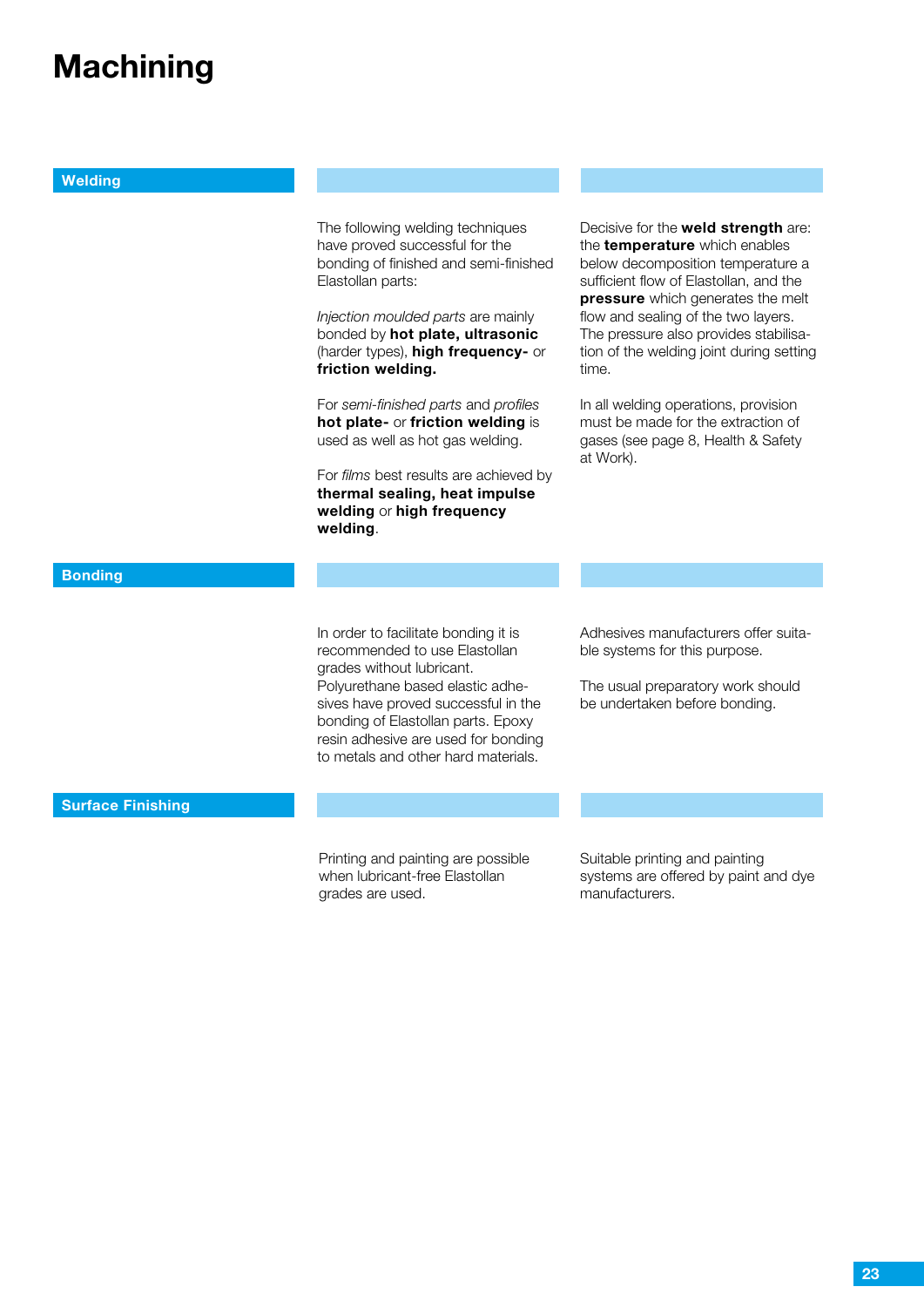### **Machining**

**Welding**

The following welding techniques have proved successful for the bonding of finished and semi-finished Elastollan parts:

*Injection moulded parts* are mainly bonded by **hot plate, ultrasonic** (harder types), **high frequency-** or **friction welding.**

For *semi-finished parts* and *profiles* **hot plate-** or **friction welding** is used as well as hot gas welding.

For *films* best results are achieved by **thermal sealing, heat impulse welding** or **high frequency welding**.

Decisive for the **weld strength** are: the **temperature** which enables below decomposition temperature a sufficient flow of Elastollan, and the **pressure** which generates the melt flow and sealing of the two layers. The pressure also provides stabilisation of the welding joint during setting time.

In all welding operations, provision must be made for the extraction of gases (see page 8, Health & Safety at Work).

### **Bonding**

In order to facilitate bonding it is recommended to use Elastollan grades without lubricant. Polyurethane based elastic adhesives have proved successful in the bonding of Elastollan parts. Epoxy resin adhesive are used for bonding to metals and other hard materials.

Adhesives manufacturers offer suitable systems for this purpose.

The usual preparatory work should be undertaken before bonding.

#### **Surface Finishing**

Printing and painting are possible when lubricant-free Elastollan grades are used.

Suitable printing and painting systems are offered by paint and dye manufacturers.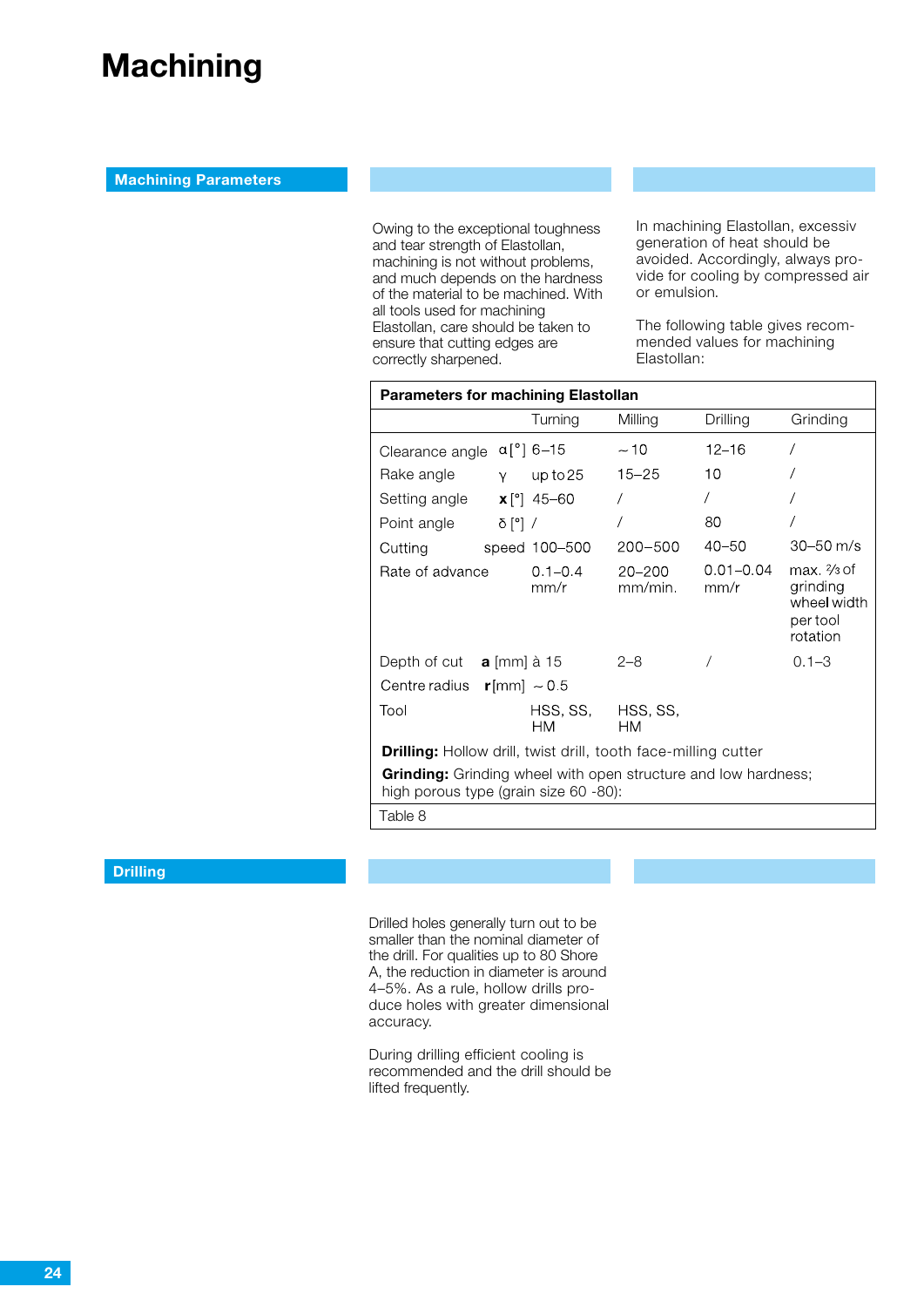## **Machining**

#### **Machining Parameters**

Owing to the exceptional toughness and tear strength of Elastollan, machining is not without problems, and much depends on the hardness of the material to be machined. With all tools used for machining Elastollan, care should be taken to ensure that cutting edges are correctly sharpened.

In machining Elastollan, excessiv generation of heat should be avoided. Accordingly, always provide for cooling by compressed air or emulsion.

The following table gives recommended values for machining Elastollan:

| <b>Parameters for machining Elastollan</b>                                                                     |                |                        |                          |                       |                                                                         |
|----------------------------------------------------------------------------------------------------------------|----------------|------------------------|--------------------------|-----------------------|-------------------------------------------------------------------------|
|                                                                                                                |                | Turning                | Milling                  | Drilling              | Grinding                                                                |
| Clearance angle                                                                                                |                | $\alpha$ [°] 6–15      | ~10                      | $12 - 16$             |                                                                         |
| Rake angle                                                                                                     | Y              | up to $25$             | $15 - 25$                | 10                    |                                                                         |
| Setting angle                                                                                                  |                | $\mathbf{x}$ [°] 45–60 |                          |                       |                                                                         |
| Point angle                                                                                                    | $\delta$ [°] / |                        |                          | 80                    |                                                                         |
| Cutting                                                                                                        |                | speed 100–500          | 200-500                  | 40-50                 | $30 - 50$ m/s                                                           |
| Rate of advance                                                                                                |                | $0.1 - 0.4$<br>mm/r    | $20 - 200$<br>$mm/min$ . | $0.01 - 0.04$<br>mm/r | $max \frac{2}{3}$ of<br>grinding<br>wheel width<br>per tool<br>rotation |
| Depth of cut $a$ [mm] à 15                                                                                     |                |                        | $2 - 8$                  |                       | $0.1 - 3$                                                               |
| Centre radius $r$ [mm] ~ 0.5                                                                                   |                |                        |                          |                       |                                                                         |
| Tool                                                                                                           |                | HSS, SS,<br><b>HM</b>  | HSS, SS,<br>HМ           |                       |                                                                         |
| <b>Drilling:</b> Hollow drill, twist drill, tooth face-milling cutter                                          |                |                        |                          |                       |                                                                         |
| <b>Grinding:</b> Grinding wheel with open structure and low hardness;<br>high porous type (grain size 60 -80): |                |                        |                          |                       |                                                                         |

Table 8

#### **Drilling**

Drilled holes generally turn out to be smaller than the nominal diameter of the drill. For qualities up to 80 Shore A, the reduction in diameter is around 4–5%. As a rule, hollow drills produce holes with greater dimensional accuracy.

During drilling efficient cooling is recommended and the drill should be lifted frequently.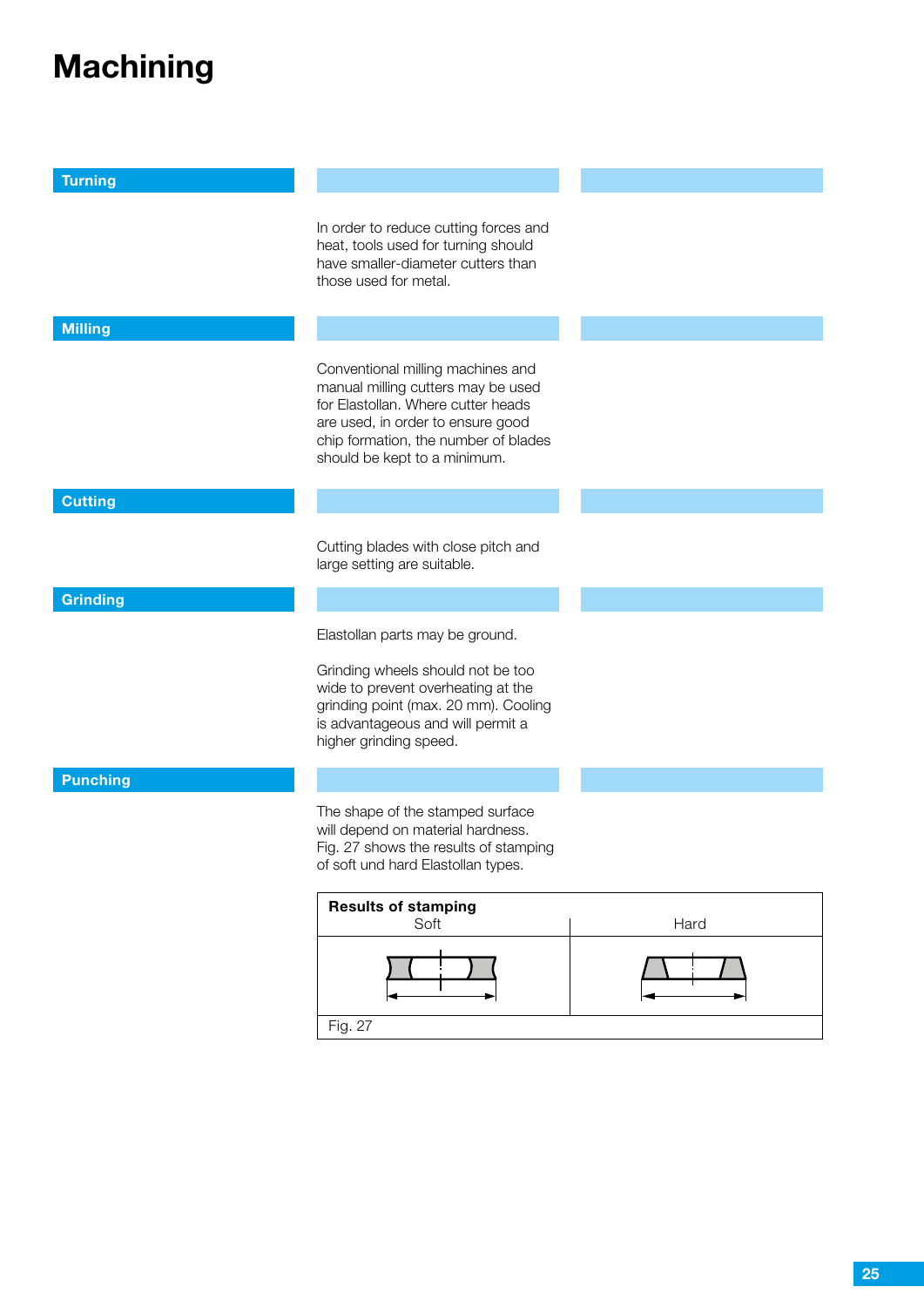## **Machining**

| <b>Turning</b>  |                                                                                                                                                                                                                            |      |
|-----------------|----------------------------------------------------------------------------------------------------------------------------------------------------------------------------------------------------------------------------|------|
|                 | In order to reduce cutting forces and<br>heat, tools used for turning should<br>have smaller-diameter cutters than<br>those used for metal.                                                                                |      |
| <b>Milling</b>  |                                                                                                                                                                                                                            |      |
|                 | Conventional milling machines and<br>manual milling cutters may be used<br>for Elastollan. Where cutter heads<br>are used, in order to ensure good<br>chip formation, the number of blades<br>should be kept to a minimum. |      |
| <b>Cutting</b>  |                                                                                                                                                                                                                            |      |
|                 | Cutting blades with close pitch and<br>large setting are suitable.                                                                                                                                                         |      |
| <b>Grinding</b> |                                                                                                                                                                                                                            |      |
|                 | Elastollan parts may be ground.<br>Grinding wheels should not be too<br>wide to prevent overheating at the<br>grinding point (max. 20 mm). Cooling<br>is advantageous and will permit a<br>higher grinding speed.          |      |
| <b>Punching</b> |                                                                                                                                                                                                                            |      |
|                 | The shape of the stamped surface<br>will depend on material hardness.<br>Fig. 27 shows the results of stamping<br>of soft und hard Elastollan types.                                                                       |      |
|                 | <b>Results of stamping</b><br>Soft                                                                                                                                                                                         | Hard |
|                 |                                                                                                                                                                                                                            |      |

Fig. 27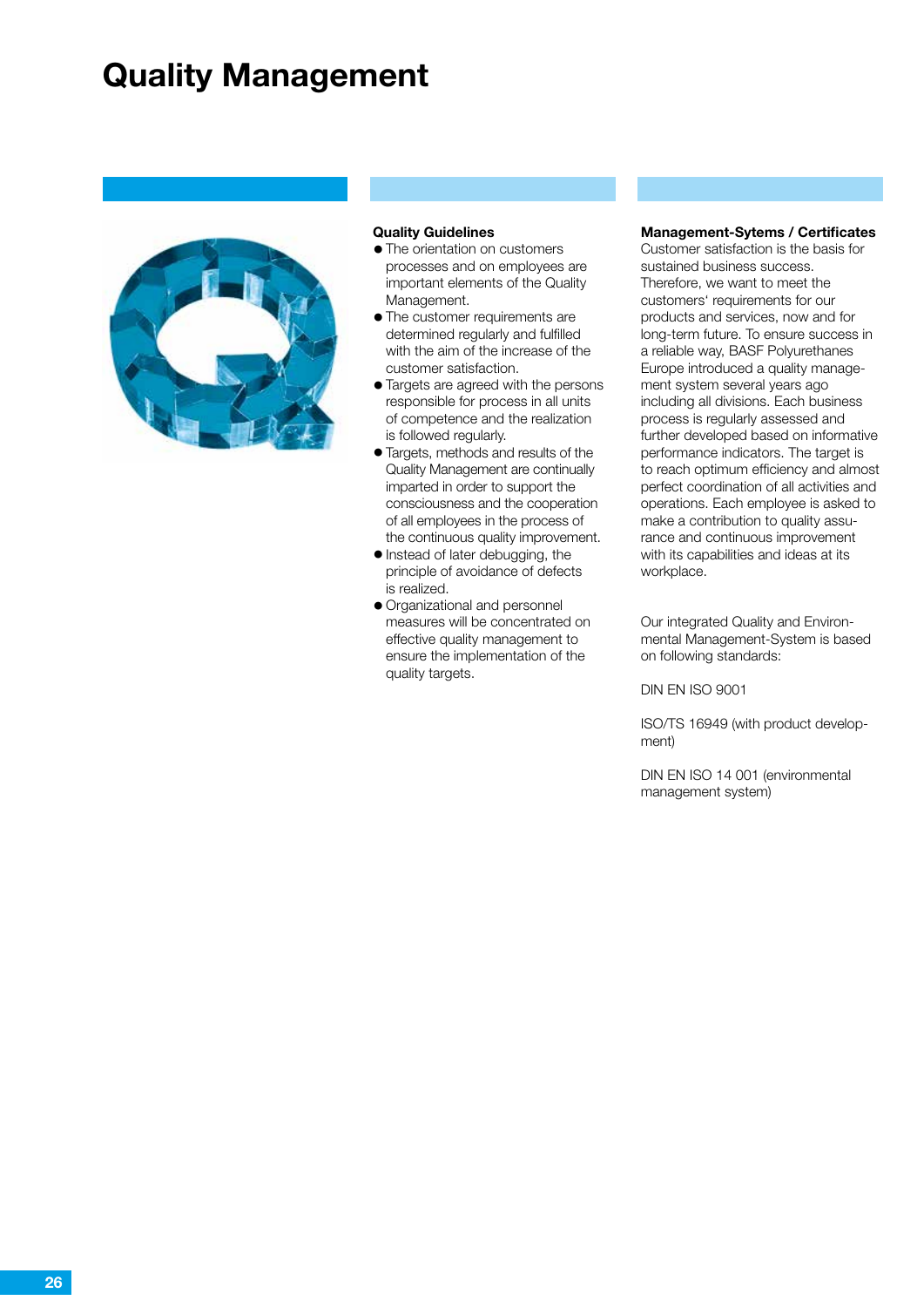## **Quality Management**



#### **Quality Guidelines**

- The orientation on customers processes and on employees are important elements of the Quality Management.
- The customer requirements are determined regularly and fulfilled with the aim of the increase of the customer satisfaction.
- Targets are agreed with the persons responsible for process in all units of competence and the realization is followed regularly.
- Targets, methods and results of the Quality Management are continually imparted in order to support the consciousness and the cooperation of all employees in the process of the continuous quality improvement.
- •Instead of later debugging, the principle of avoidance of defects is realized.
- Organizational and personnel measures will be concentrated on effective quality management to ensure the implementation of the quality targets.

#### **Management-Sytems / Certificates**

Customer satisfaction is the basis for sustained business success. Therefore, we want to meet the customers' requirements for our products and services, now and for long-term future. To ensure success in a reliable way, BASF Polyurethanes Europe introduced a quality management system several years ago including all divisions. Each business process is regularly assessed and further developed based on informative performance indicators. The target is to reach optimum efficiency and almost perfect coordination of all activities and operations. Each employee is asked to make a contribution to quality assurance and continuous improvement with its capabilities and ideas at its workplace.

Our integrated Quality and Environmental Management-System is based on following standards:

DIN EN ISO 9001

ISO/TS 16949 (with product development)

DIN EN ISO 14 001 (environmental management system)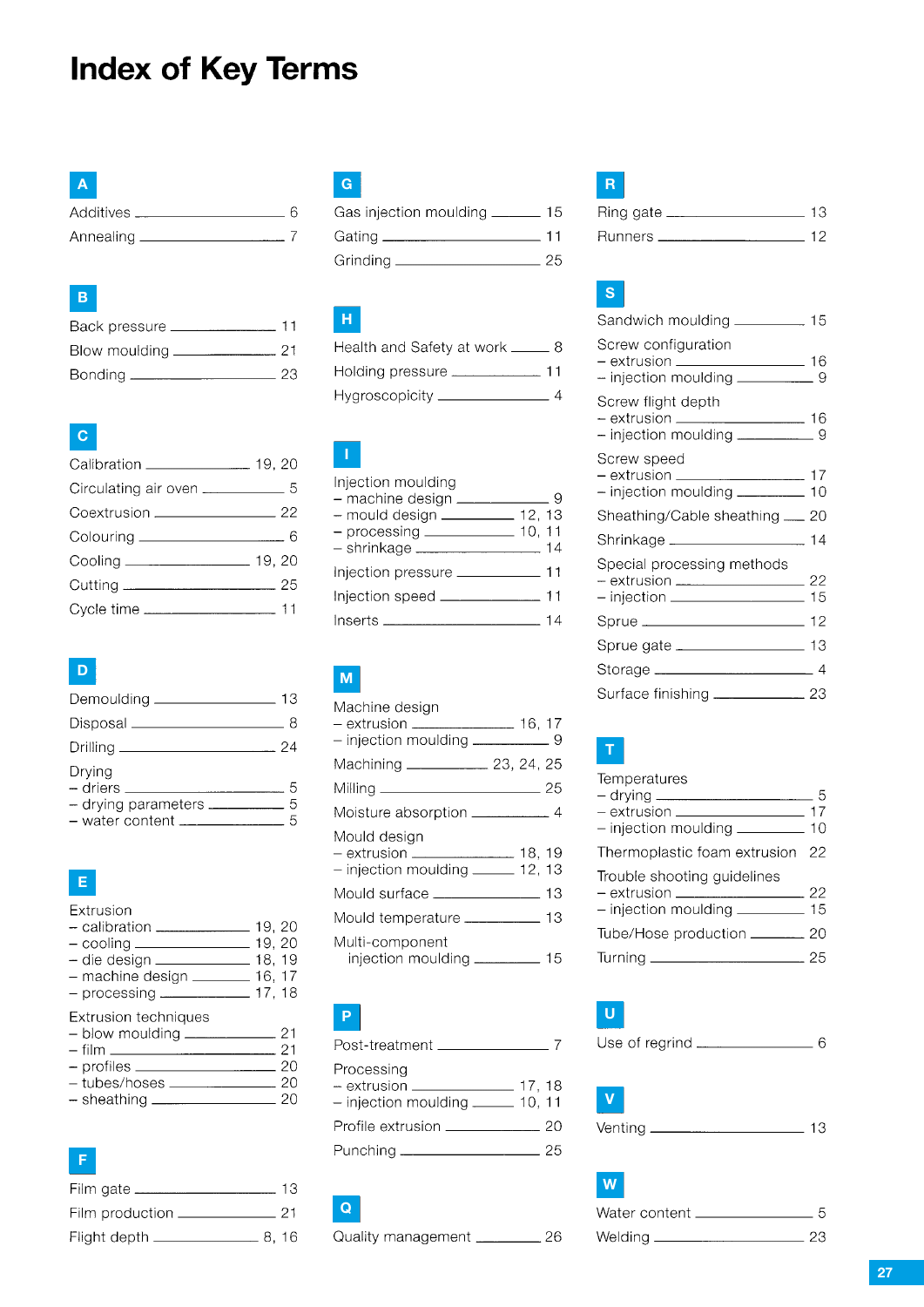## **Index of Key Terms**

### $\mathbf{A}^{\top}$

| Additives <sub>—</sub> |  |
|------------------------|--|
| Annealing _            |  |

### B

| Back pressure ____ | 11  |
|--------------------|-----|
| Blow moulding _    | 21  |
| <b>Bonding</b>     | 23. |

### $\mathbf{c}$

| Α                                                                    |  |
|----------------------------------------------------------------------|--|
| Additives <u>_____________________________</u> 6                     |  |
| Annealing _____________________________7                             |  |
|                                                                      |  |
|                                                                      |  |
| B                                                                    |  |
| Back pressure ________________ 11                                    |  |
| Blow moulding ________________ 21                                    |  |
|                                                                      |  |
|                                                                      |  |
| $\mathbf{C}$                                                         |  |
|                                                                      |  |
| Calibration ________________ 19, 20                                  |  |
| Circulating air oven <u>___________</u> 5                            |  |
| Coextrusion ______________________ 22                                |  |
|                                                                      |  |
| Cooling _____________________ 19, 20                                 |  |
| Cutting ________________________________ 25                          |  |
|                                                                      |  |
|                                                                      |  |
| D                                                                    |  |
|                                                                      |  |
| Demoulding _____________________ 13                                  |  |
|                                                                      |  |
|                                                                      |  |
| Drying                                                               |  |
| - drying parameters _________                                        |  |
|                                                                      |  |
|                                                                      |  |
|                                                                      |  |
|                                                                      |  |
| Extrusion<br>- calibration _______________ 19, 20                    |  |
| - cooling __________________ 19, 20                                  |  |
| - die design _____________ 18, 19<br>- machine design _______ 16, 17 |  |
| - processing _____________ 17, 18                                    |  |
| Extrusion techniques                                                 |  |
|                                                                      |  |
|                                                                      |  |
| - tubes/hoses ___________________ 20                                 |  |
|                                                                      |  |
|                                                                      |  |
|                                                                      |  |

### $\vert$  D

| Demoulding _________________        | -13  |
|-------------------------------------|------|
| Disposal <u>___________________</u> |      |
| Drilling _______________            | - 24 |
| Drying<br>$-$ driers $-$            |      |
| - drying parameters _______         | 5    |
| $-$ water content $\frac{1}{2}$     |      |

### $\mathsf{E}^{\scriptscriptstyle \top}$

| Extrusion                                    |        |
|----------------------------------------------|--------|
| $-$ calibration $\frac{1}{2}$ 19, 20         |        |
| $-$ cooling $\_\_\_\_\_\_\_\_\_\_\_\_\_$     | 19, 20 |
| $-$ die design $\sqrt{2}$                    | 18, 19 |
| $-$ machine design $\_\_\_\_\_\_\_\_\_\_\_\$ | 16.17  |
| - processing ______________ 17, 18           |        |
| Extrusion techniques                         |        |
| - blow moulding                              |        |

| Extraorer toomingabo                                   |     |
|--------------------------------------------------------|-----|
| $-$ blow moulding $\frac{1}{2}$                        | 21  |
|                                                        | 21  |
| $-$ profiles $\frac{1}{2}$                             | 20  |
| $-$ tubes/hoses $\_\_\_\_\_\_\_\_\_\_\_\_\_\_\_\_\_\_$ | 20  |
| $-$ sheathing $\frac{1}{2}$                            | 20. |
|                                                        |     |

### $\mathsf F$

| Film gate ______         | 13   |
|--------------------------|------|
| Film production $\equiv$ | -21  |
| Flight depth             | 8.16 |

### $\mathbf{G}$

| Gas injection moulding ____ | 15 |
|-----------------------------|----|
| Gating $-$                  | 11 |
| Grinding                    | 25 |

### $\,$  H

| Health and Safety at work ____ | Χ  |
|--------------------------------|----|
| Holding pressure ______        | 11 |
| Hygroscopicity _               | Δ  |

### $\mathbf{L}$

| Injection moulding<br>- mould design __________ 12, 13<br>- processing ____________ 10, 11<br>- shrinkage <u>- - - - - - - - - - - - - - 1</u> 4 | -9 |
|--------------------------------------------------------------------------------------------------------------------------------------------------|----|
| Injection pressure ____________ 11                                                                                                               |    |
| Injection speed _______________ 11                                                                                                               |    |
| lnserts ___________________________ 14                                                                                                           |    |

### $\mathbf{M}$

| $\overline{\mathbf{G}}$                                                  |  |
|--------------------------------------------------------------------------|--|
| Gas injection moulding _______ 15                                        |  |
|                                                                          |  |
|                                                                          |  |
|                                                                          |  |
| $\overline{\mathsf{H}}$                                                  |  |
| Health and Safety at work ______ 8                                       |  |
| Holding pressure _____________ 11                                        |  |
|                                                                          |  |
|                                                                          |  |
|                                                                          |  |
| I.                                                                       |  |
| Injection moulding<br>- machine design ______________9                   |  |
| - mould design _________ 12, 13                                          |  |
| $-$ processing ______________ 10, 11                                     |  |
| - shrinkage <u>- - - - - - - - - - - - - 14</u>                          |  |
| Injection pressure _____________ 11                                      |  |
| Injection speed ______________ 11                                        |  |
|                                                                          |  |
|                                                                          |  |
| M                                                                        |  |
| Machine design<br>- extrusion _______________ 16, 17                     |  |
|                                                                          |  |
| - injection moulding _____________ 9                                     |  |
| Machining ____________ 23, 24, 25                                        |  |
| Milling 25                                                               |  |
| Moisture absorption _______________ 4                                    |  |
| Mould design                                                             |  |
| - extrusion _______________ 18, 19<br>- injection moulding ______ 12, 13 |  |
| Mould surface ____________________ 13                                    |  |
| Mould temperature ___________ 13                                         |  |
|                                                                          |  |
| Multi-component<br>injection moulding _________ 15                       |  |
|                                                                          |  |
| P                                                                        |  |
| Post-treatment _______________                                           |  |
| Processing                                                               |  |
| - extrusion ___________________ 17, 18                                   |  |
| - injection moulding ______ 10, 11                                       |  |
|                                                                          |  |
| Punching __________________________ 25                                   |  |
|                                                                          |  |
| Q                                                                        |  |

### $\mathsf P$

 $\mathbf Q$ 

| Post-treatment ______________                                                                  |      |
|------------------------------------------------------------------------------------------------|------|
| Processing<br>- extrusion _______________________ 17, 18<br>- injection moulding ______ 10, 11 |      |
| Profile extrusion ___________                                                                  | - 20 |
| Punching ____________________                                                                  | 25   |

Quality management \_\_\_\_\_\_\_\_\_\_ 26

### $\vert\mathbf{R}\vert$

| Ring gate ___<br>and the control of the control of the control of the control of the control of the control of the control of the | 13 |
|-----------------------------------------------------------------------------------------------------------------------------------|----|
| Runners                                                                                                                           | 12 |

### $\vert S \vert$

| $\Box$ R                                                                         |    |
|----------------------------------------------------------------------------------|----|
| Ring gate <u>___________________</u> 13                                          |    |
|                                                                                  |    |
|                                                                                  |    |
| $\overline{\mathbf{s}}$                                                          |    |
| Sandwich moulding __________ 15                                                  |    |
| Screw configuration                                                              |    |
| - extrusion <u>2000 - 2000 - 2010</u> 16<br>- injection moulding ____________9   |    |
| Screw flight depth                                                               |    |
| - extrusion <u>____________________</u> 16<br>- injection moulding ____________9 |    |
| Screw speed                                                                      |    |
| - extrusion <u>___________________</u> 17                                        |    |
| - injection moulding _________ 10                                                |    |
| Sheathing/Cable sheathing __ 20<br>Shrinkage _________________________ 14        |    |
| Special processing methods                                                       |    |
| - extrusion __________________                                                   | 22 |
| - injection _________________                                                    | 15 |
|                                                                                  |    |
| Storage <u>_____________________</u> 4                                           |    |
| Surface finishing _________________ 23                                           |    |
|                                                                                  |    |
| $\mathbf T$                                                                      |    |
|                                                                                  |    |
| Temperatures                                                                     |    |
| $-$ extrusion $\qquad \qquad$<br>- injection moulding __________ 10              | 17 |
| Thermoplastic foam extrusion 22                                                  |    |
| Trouble shooting guidelines                                                      |    |
| extrusion ___________________ 22<br>- injection moulding _________ 15            |    |
| Tube/Hose production ________ 20                                                 |    |
|                                                                                  |    |
|                                                                                  |    |
| U                                                                                |    |
|                                                                                  |    |
| Use of regrind <u>_______________</u>                                            | -6 |
|                                                                                  |    |
|                                                                                  |    |
| Venting _________________________                                                | 13 |
|                                                                                  |    |
|                                                                                  |    |

### $\mathbf T$

| <b>Temperatures</b><br>- injection moulding _________ 10                                                        |  |
|-----------------------------------------------------------------------------------------------------------------|--|
| Thermoplastic foam extrusion 22                                                                                 |  |
| Trouble shooting guidelines<br>- extrusion <u>_____________________</u> 22<br>- injection moulding _________ 15 |  |
| Tube/Hose production ________ 20                                                                                |  |
| Turning ______________________________ 25                                                                       |  |

### $\mathsf{U}$

| Use of regrind __ |  |  |
|-------------------|--|--|
|-------------------|--|--|

### $\mathbf{V}$

| Venting |  |
|---------|--|
|         |  |

### $W$

| Water content _ |    |
|-----------------|----|
| Welding .       | 23 |